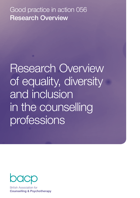Good practice in action 056 Research Overview

Research Overview of equality, diversity and inclusion in the counselling professions



**British Association for Counselling & Psychotherapy**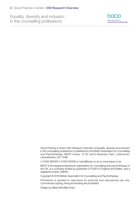

Good Practice in Action 056: *Research Overview of Equality, diversity and inclusion in the counselling professions* is published by the British Association for Counselling and Psychotherapy, BACP House, 15 St John's Business Park, Lutterworth, Leicestershire, LE17 4HB.

t: 01455 883300 f: 01455 550243 e: [bacp@bacp.co.uk](mailto:bacp@bacp.co.uk) w: [www.bacp.co.uk](http://www.bacp.co.uk)

BACP is the largest professional organisation for counselling and psychotherapy in the UK, is a company limited by guarantee 2175320 in England and Wales, and a registered charity, 298361.

Copyright © 2016 British Association for Counselling and Psychotherapy.

Permission is granted to reproduce for personal and educational use only. Commercial copying, hiring and lending are prohibited.

Design by Steers McGillan Eves.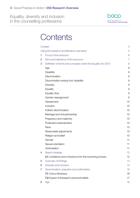

# **Contents**

| Context        |                                                              | 5  |
|----------------|--------------------------------------------------------------|----|
|                | Using the research and literature overviews                  | 5  |
| 1              | Focus of the resource                                        | 6  |
| $\overline{2}$ | Aims and relevance of the resource                           | 7  |
| 3              | Definition of terms and concepts under the Equality Act 2010 | 9  |
|                | Age                                                          | 9  |
|                | Disability                                                   | 9  |
|                | Discrimination                                               | 9  |
|                | Discrimination arising from disability                       | 9  |
|                | Diversity                                                    | 9  |
|                | Equality                                                     | 9  |
|                | Equality duty                                                | 9  |
|                | Gender reassignment                                          | 9  |
|                | Harassment                                                   | 10 |
|                | Inclusion                                                    | 10 |
|                | Indirect discrimination                                      | 10 |
|                | Marriage and civil partnership                               | 10 |
|                | Pregnancy and maternity                                      | 10 |
|                | Protected characteristics                                    | 10 |
|                | Race                                                         | 10 |
|                | Reasonable adjustments                                       | 10 |
|                | Religion and belief                                          | 10 |
|                | Gender                                                       | 11 |
|                | Sexual orientation                                           | 11 |
|                | Victimisation                                                | 11 |
| 4              | Search strategy                                              | 12 |
|                | 4.1 Limitations and omissions from the scanning process      | 12 |
| 5              | Overview of findings                                         | 13 |
| 6              | Diversity and inclusion                                      | 14 |
| 7              | Discrimination, prejudice and victimisation                  | 16 |
|                | <b>7.1 Colour blindness</b>                                  | 16 |
|                | 7.2 Impact of therapist's personal beliefs                   | 17 |
| 8              | Age                                                          | 19 |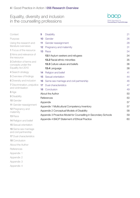

| Context                                       | 9               | <b>Disability</b>                                               | 21        |
|-----------------------------------------------|-----------------|-----------------------------------------------------------------|-----------|
| Purpose                                       | 10              | Gender                                                          | 26        |
| Using the research and                        | 11              | Gender reassignment                                             | 28        |
| literature overviews                          | 12              | Pregnancy and maternity                                         | 31        |
| 1 Focus of the resource                       | 13 <sup>°</sup> | Race                                                            | 34        |
| 2 Aims and relevance of<br>the resource       |                 | <b>13.1</b> Asylum seekers and refugees                         | 34        |
| <b>3</b> Definition of terms and              |                 | <b>13.2 Racial ethnic minorities</b>                            | 35        |
| concepts under the                            |                 | <b>13.3</b> Culture values and beliefs                          | 36        |
| Equality Act 2010                             |                 | 13.4 Language                                                   | 38        |
| 4 Search strategy                             | 14              | Religion and belief                                             | 41        |
| 5 Overview of findings                        | 15              | Sexual orientation                                              | 44        |
| <b>6</b> Diversity and inclusion              | 16              | Same sex marriage and civil partnership                         | 46        |
| 7 Discrimination, prejudice                   | 17              | Dual characteristics                                            | 47        |
| and victimisation                             | 18              | Conclusion                                                      | 49        |
| 8 Age                                         |                 | About the Author                                                | <b>50</b> |
| 9 Disability                                  |                 | References                                                      | <b>50</b> |
| 10 Gender                                     |                 | Appendix                                                        | 57        |
| 11 Gender reassignment                        |                 | Appendix 1 Multicultural Competency Inventory                   | 57        |
| 12 Pregnancy and<br>maternity                 |                 | Appendix 2 Conceptual Models of Disability                      | 58        |
| 13 Race                                       |                 | Appendix 3 Proactive Model for Counselling in Secondary Schools | 59        |
| 14 Religion and belief                        |                 | Appendix 4 BACP Statement of Ethical Practice                   | <b>60</b> |
| <b>15</b> Sexual orientation                  |                 |                                                                 |           |
| 16 Same sex marriage<br>and civil partnership |                 |                                                                 |           |
| <b>17 Dual characteristics</b>                |                 |                                                                 |           |
| <b>18 Conclusion</b>                          |                 |                                                                 |           |

About the Autho[r](#page-43-0)

**[References](#page-52-0)** 

- Appendix 1
- Appendix 2

Appendix 3

Appendix 4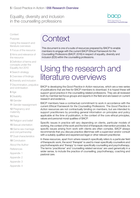

<span id="page-4-0"></span>**Context** 

Purpose

Using the research and literature overviews

[1](#page-5-0) Focus of the resource

[2](#page-6-0) Aims and relevance of the resource

3 [Definition of terms and](#page-9-0)  [concepts under the](#page-9-0)  [Equality Act 2010](#page-9-0)

4 [Search strategy](#page-10-0)

[5](#page-12-0) Overview of findings

6 [Diversity and inclusion](#page-13-0)

7 [Discrimination, prejudice](#page-14-0)  [and victimisation](#page-14-0)

8 [Age](#page-15-0)

9 [Disability](#page-16-0)

10 [Gender](#page-40-0)

11 [Gender reassignment](#page-41-0)

[12](#page-42-0) Pregnancy and maternity

13 [Race](#page-13-0)

14 [Religion and belief](#page-14-0)

15 [Sexual orientation](#page-15-0)

16 [Same sex marriage](#page-16-0)  [and civil partnership](#page-16-0)

17 [Dual characteristics](#page-40-0)

[18](#page-41-0) Conclusion

About the Autho[r](#page-43-0)

[References](#page-52-0)

Appendix 1

Appendix 2

Appendix 3

Appendix 4

# **Context**

This document is one of a suite of resources prepared by BACP to enable members to engage with the current BACP *Ethical Framework for the Counselling Professions* (BACP, 2016) in respect of equality, diversity and inclusion (EDI) within the counselling professions.

# Using the research and literature overviews

BACP is developing the *Good Practice in Action* resources, which are a new series of publications that are free for BACP members to download. It is hoped these will support good practice in the counselling related professions. They are all reviewed both by member-led focus groups and experts in the field and are based on current research and evidence.

BACP members have a contractual commitment to work in accordance with the current *Ethical Framework for the Counselling Professions*. The *Good Practice in Action* resources are not contractually binding on members, but are intended to support practitioners by providing general information on principles and policy applicable at the time of publication, in the context of the core ethical principles, values and personal moral qualities of BACP.

Specific issues in practice will vary depending on clients, particular models of working, the context of the work and the kind of therapeutic intervention provided. As specific issues arising from work with clients are often complex, BACP always recommends that you discuss practice dilemmas with a supervisor and/or consult with a suitably qualified and experienced legal or other relevant practitioner.

In these resources, apart from where research specifically refers to a particular field of therapeutic work, the word 'therapist' is used to mean specifically counsellors and psychotherapists and 'therapy' to mean specifically counselling and psychotherapy. The terms 'practitioner' and 'counselling related services' are used generically in a wider sense, to include the practice of counselling, psychotherapy, coaching and pastoral care.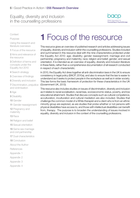

<span id="page-5-0"></span>**[Context](#page-4-0)** 

[Purpose](#page-4-0)

[Using the research and](#page-4-0)  [literature overviews](#page-4-0)

1 Focus of the resource

[2](#page-6-0) Aims and relevance of the resource

3 [Definition of terms and](#page-9-0)  [concepts under the](#page-9-0)  [Equality Act 2010](#page-9-0)

4 [Search strategy](#page-10-0)

[5](#page-12-0) Overview of findings

6 [Diversity and inclusion](#page-13-0)

7 [Discrimination, prejudice](#page-14-0)  [and victimisation](#page-14-0)

8 [Age](#page-15-0)

9 [Disability](#page-16-0)

10 [Gender](#page-40-0)

11 [Gender reassignment](#page-41-0)

[12](#page-42-0) Pregnancy and maternity

13 [Race](#page-13-0)

14 [Religion and belief](#page-14-0)

15 [Sexual orientation](#page-15-0)

16 [Same sex marriage](#page-16-0)  [and civil partnership](#page-16-0)

**17 [Dual characteristics](#page-40-0)** 

[18](#page-41-0) Conclusion

About the Autho[r](#page-43-0)

[References](#page-52-0)

Appendix 1

Appendix 2

Appendix 3

Appendix 4

# **1** Focus of the resource

This resource gives an overview of published research and articles addressing issues of equality, diversity and inclusion within the counselling professions. Studies included and summarised in this resource deal with the nine characteristics protected under the Equality Act 2010: age; disability; gender reassignment; marriage and civil partnership; pregnancy and maternity; race; religion and belief; gender; and sexual orientation. It is intended as an overview of equality, diversity and inclusion literature in these fields, rather than a comprehensive documentation of all research conducted in respect of each characteristic.

In 2010, the Equality Act drew together all anti-discrimination laws in the UK to ensure consistency in legal policy (BACP, 2010a), and also to ensure that the law is easier to understand as it seeks to protect people in the workplace as well as in wider society. This law forms the basic framework of protection for these characteristics in the UK (Government UK, 2013).

This resource also includes studies on issues of discrimination, diversity and inclusion as it relates to racial socialisation, racial bias, socioeconomic status, poverty, and low educational attainment. Studies that discuss concepts such as cultural competence, acculturation, inculturation and cultural mediation are also included. Studies that challenge the common model of a White therapist and a client who is from an ethnic minority group are explored, as are studies that probe whether or not persons with physical disabilities have access to, and those with intellectual disabilities can benefit from, therapy. The purpose is to broaden the understanding of issues involved in equality, diversity and inclusion in the context of the counselling professions.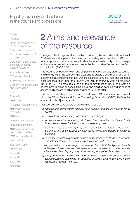

<span id="page-6-0"></span>**[Context](#page-4-0)** 

[Purpose](#page-4-0)

[Using the research and](#page-4-0)  [literature overviews](#page-4-0)

[1](#page-5-0) Focus of the resource

2 Aims and relevance of the resource

3 [Definition of terms and](#page-9-0)  [concepts under the](#page-9-0)  [Equality Act 2010](#page-9-0)

4 [Search strategy](#page-10-0)

[5](#page-12-0) Overview of findings

6 [Diversity and inclusion](#page-13-0)

7 [Discrimination, prejudice](#page-14-0)  [and victimisation](#page-14-0)

8 [Age](#page-15-0)

9 [Disability](#page-16-0)

10 [Gender](#page-40-0)

11 [Gender reassignment](#page-41-0)

[12](#page-42-0) Pregnancy and maternity

13 [Race](#page-13-0)

14 [Religion and belief](#page-14-0)

15 [Sexual orientation](#page-15-0)

16 [Same sex marriage](#page-16-0)  [and civil partnership](#page-16-0)

**17** [Dual characteristics](#page-40-0)

[18](#page-41-0) Conclusion

About the Autho[r](#page-43-0)

**[References](#page-52-0)** 

Appendix 1

Appendix 2

Appendix 3

Appendix 4

# 2 Aims and relevance of the resource

The legal protection against discrimination provided by the law under the Equality Act 2010 extends and applies to the context of counselling related services. BACP both as an employer and as a professional body adheres to the vision of providing therapy and counselling related services in a manner that is supportive, fair, just, and free from discrimination (BACP, 2010b).

This resource embodies the aim and purpose of BACP to actively promote equality and diversity within the counselling professions, to ensure that legislation and policy requirements are implemented in all working practices (BACP, 2010b), and to embed legal responsibilities under the Equality Act 2010 in everyday working practices (BACP, 2015). This resource is part of the commitment of BACP to create an environment in which all people have equal and dignified care, as well as ease of access to all services, facilities and activities of BACP (2010b).

This resource also helps flesh out in practical ways BACP members' commitment within the *Ethical Framework for the Counselling Professions* (BACP, 2016) to the ethical principle of justice, and to:

- '..respect our clients as people by providing services that:
	- *a. endeavour to demonstrate equality, value diversity and ensure inclusion for all clients*
	- *b. avoid unfairly discriminating against clients or colleagues*
	- *c. accept we are all vulnerable to prejudice and recognise the importance of selfinquiry, personal feedback and professional development*
	- *d. work with issues of identity in open-minded ways that respect the client's autonomy and be sensitive to whether this is viewed as individual or relational autonomy*
	- *e. make adjustments to overcome barriers to accessibility, so far as is reasonably possible, for clients of any ability wishing to engage with a service*
	- *f. recognise when our knowledge of key aspects of our client's background, identity or lifestyle is inadequate and take steps to inform ourselves from other sources where available and appropriate, rather than expecting the client to teach us*
	- *g. are open-minded with clients who appear similar to ourselves or possess familiar characteristics so that we do not suppress or neglect what is distinctive in their lives* (Good Practice, Point 22).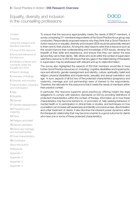

### **[Context](#page-4-0)**

[Purpose](#page-4-0)

[Using the research and](#page-4-0)  [literature overviews](#page-4-0)

[1](#page-5-0) Focus of the resource

[2](#page-6-0) Aims and relevance of the resource

3 [Definition of terms and](#page-9-0)  [concepts under the](#page-9-0)  [Equality Act 2010](#page-9-0)

4 [Search strategy](#page-10-0)

[5](#page-12-0) Overview of findings

6 [Diversity and inclusion](#page-13-0)

7 [Discrimination, prejudice](#page-14-0)  [and victimisation](#page-14-0)

8 [Age](#page-15-0)

9 [Disability](#page-16-0)

10 [Gender](#page-40-0)

11 [Gender reassignment](#page-41-0)

[12](#page-42-0) Pregnancy and maternity

13 [Race](#page-13-0)

14 [Religion and belief](#page-14-0)

15 [Sexual orientation](#page-15-0)

16 [Same sex marriage](#page-16-0)  [and civil partnership](#page-16-0)

**17** [Dual characteristics](#page-40-0)

[18](#page-41-0) Conclusion

About the Autho[r](#page-43-0)

**[References](#page-52-0)** 

Appendix 1

Appendix 2

Appendix 3

Appendix 4

To ensure that the resource appropriately meets the needs of BACP members, a survey comprising 211 members/respondents of the Good Practice focus group was conducted. Respondents proposed reasons why they think that a *Good Practice in Action* resource on equality, diversity and inclusion (EDI) would be personally relevant to them and to their practice. Among the cited reasons were that a resource such as this would improve their understanding and knowledge of EDI issues, develop the breadth of their skills and experience, and ensure that they can deliver the best service they can to their clients. Still, others who work within the context of supervision said that a resource on EDI will ensure that any gaps in the initial training of therapists in supervision may be addressed with relevant and up-to-date information.

The survey also highlighted the aspects of EDI that members would like to have further Good Practice resources on, including: cognitive disabilities and impairments; race and ethnicity; gender reassignment and identity; culture; spirituality; belief and religion; physical disabilities and impairments; sexuality and sexual orientation; and age. In sum, aspects of all but two of the protected characteristics (pregnancy and maternity, marriage and civil partnership) were of interest to the respondents. Therefore, the rationale for this resource is that it meets the needs of members within their practice context.

In particular, this resource supports good practice by offering insight into legal obligations to comply with statutory standards on EDI by providing definitions of protected characteristics within the context of therapy, information as to how these characteristics may become barriers to, or promoters of, help-seeking behaviour in mental health or to participation in clinical trials or studies, and techniques on how counsellors can increase self-awareness and identify unconscious bias, discrimination and unfair treatment of clients. It also illumines the inherent power dynamics within the therapeutic relationship that may become a barrier to a good outcome for clients who have one or some of these protected characteristics.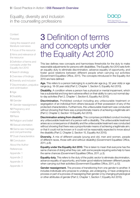

### <span id="page-8-0"></span>**[Context](#page-4-0)**

[Purpose](#page-4-0)

[Using the research and](#page-4-0)  [literature overviews](#page-4-0)

[1](#page-5-0) Focus of the resource

[2](#page-6-0) Aims and relevance of the resource

3 [Definition of terms and](#page-9-0)  [concepts under the](#page-9-0)  [Equality Act 2010](#page-9-0)

4 [Search strategy](#page-10-0)

[5](#page-12-0) Overview of findings

6 [Diversity and inclusion](#page-13-0)

7 [Discrimination, prejudice](#page-14-0)  [and victimisation](#page-14-0)

8 [Age](#page-15-0)

9 [Disability](#page-16-0)

10 [Gender](#page-40-0)

11 [Gender reassignment](#page-41-0)

[12](#page-42-0) Pregnancy and maternity

13 [Race](#page-13-0)

14 [Religion and belief](#page-14-0)

15 [Sexual orientation](#page-15-0)

16 [Same sex marriage](#page-16-0)  [and civil partnership](#page-16-0)

**17** [Dual characteristics](#page-40-0)

[18](#page-41-0) Conclusion

About the Autho[r](#page-43-0)

**[References](#page-52-0)** 

Appendix 1

Appendix 2

Appendix 3

Appendix 4

# 3 Definition of terms and concepts under the Equality Act 2010

This law defines new concepts and harmonises thresholds for the duty to make reasonable adjustments for persons with disabilities. The Equality Act 2010 sets forth an equality duty to eliminate discrimination, advance equality of opportunity, and foster good relations between different people when carrying out activities (Government Equalities Office, 2011). The concepts introduced in the Equality Act 2010 are here defined:

Age. This refers to a person belonging to a particular age (e.g. 32 year olds) or age range (e.g. 18-30 year olds) (Part 2, Chapter 1, Section 5, Equality Act 2010).

**Disability.** A condition where a person has a physical or mental impairment, which has a substantial and long-term adverse effect on their ability to carry out normal dayto-day activities (Part 2, Chapter 1, Section 6, Equality Act 2010).

Discrimination. Prohibited conduct including any unfavourable treatment or segregation of an individual from others because of their possession of any of the protected characteristics. Furthermore, this unfavourable treatment was conducted without showing that there was a proportionate means of achieving a legitimate aim (Part 2, Chapter 2, Section 13 Equality Act 2010).

**Discrimination arising from disability.** This comprises prohibited conduct involving any unfavourable treatment of a person with a disability. The unfavourable treatment arises as a consequence of disability and the unfavourable treatment was conducted without showing that there was a proportionate means of achieving a legitimate aim; or that it could not be known or it could not be reasonably expected to know about the disability (Part 2, Chapter 2, Section 15, Equality Act 2010).

**Diversity.** A mix of different people (young and old, men and women, people of different races, those with and without disability) (Government Equalities Office, 2011, p.8).

**Equality under the Equality Act 2010.** This is taken to mean that everyone has the same chances of doing what they can, with some people requiring extra help to have the same chances (Government Equalities Office, 2011, p.3).

**Equality duty.** This refers to the duty of the public sector to eliminate discrimination, advance equality of opportunity, and foster good relations between different people when carrying out their activities (Government Equalities Office, 2011, p.12).

Gender reassignment. The process of transitioning from one gender to another. It includes individuals who propose to undergo, are undergoing, or have undergone a process or part of a process of reassigning their gender or by changing physiological or other attributes of gender (Part 2, Chapter 1, Section 7, Equality Act 2010).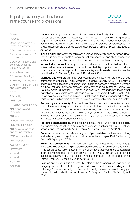

<span id="page-9-0"></span>**[Context](#page-4-0)** 

[Purpose](#page-4-0)

[Using the research and](#page-4-0)  [literature overviews](#page-4-0)

[1](#page-5-0) Focus of the resource

[2](#page-6-0) Aims and relevance of the resource

3 Definition of terms and concepts under the Equality Act 2010

4 [Search strategy](#page-10-0)

[5](#page-12-0) Overview of findings

6 [Diversity and inclusion](#page-13-0)

7 [Discrimination, prejudice](#page-14-0)  [and victimisation](#page-14-0)

8 [Age](#page-15-0)

9 [Disability](#page-16-0)

10 [Gender](#page-40-0)

11 [Gender reassignment](#page-41-0)

[12](#page-42-0) Pregnancy and maternity

13 [Race](#page-13-0)

14 [Religion and belief](#page-14-0)

15 [Sexual orientation](#page-15-0)

16 [Same sex marriage](#page-16-0)  [and civil partnership](#page-16-0)

**17** [Dual characteristics](#page-40-0)

[18](#page-41-0) Conclusion

About the Autho[r](#page-43-0)

**[References](#page-52-0)** 

Appendix 1

Appendix 2

Appendix 3

Appendix 4

Harassment. Any unwanted conduct which violates the dignity of an individual who possesses a protected characteristic, or to the creation of an intimidating, hostile, degrading, humiliating or offensive environment. It also includes unfavourable treatment because the person with the protected characteristic has refused, rejected or does not submit to the unwanted conduct (Part 2, Chapter 2, Section 26, Equality Act 2010).

**Inclusion.** Bringing together people with diverse characteristics and harnessing their diversity in order to cultivate an environment of respect, co-operation, connection and involvement, which in turn creates a richness in perspective and creativity.

Indirect discrimination. Any provision, criterion or practice that results in unfavourable treatment relevant to a particular disability by putting persons with a disability at a disadvantage or giving an advantage to those who do not share the disability (Part 2, Chapter 2, Section 19, Equality Act 2010).

**Marriage and civil partnership.** Domestic relationships, which are more or less permanent and long term (Part 2, Chapter 1, Section 8, Equality Act 2010). In England and Wales, marriage is no longer restricted to a union between a man and a woman but now includes marriage between same-sex couples (Marriage (Same Sex Couples) Act 2013, Section 1). This will also be true in Scotland when the relevant legislation is brought into force (Marriage and Civil Partnership (Scotland) Act 2014). Same-sex couples can also have their relationships legally recognised as 'civil partnerships'. Civil partners must not be treated less favourably than married couples.

**Pregnancy and maternity.** The condition of being pregnant or expecting a baby. Maternity refers to the period after the birth, and is linked to maternity leave in the employment context. In the non-work context, protection against maternity discrimination is for 26 weeks after giving birth (whether or not the child is born alive), and this includes treating a woman unfavourably because she is breastfeeding (Part 2, Chapter 2, Section 17, Equality Act 2010).

**Protected characteristics.** These are nine characteristics which are protected by law against discrimination in employment, services, public functions, education, associations, and transport (Part 2, Chapter 1, Section 4, Equality Act 2010).

Race. In this resource, this refers to a group of people defined by their race, colour, and nationality (including citizenship), ethnic or national origins (Part 2, Chapter 1, Section 9, Equality Act 2010).

**Reasonable adjustments.** The duty to take reasonable steps to avoid disadvantage to persons who possess the protected characteristics; to remove or alter any feature in the design, construction, access, furniture or elements that cause the disadvantage; to provide without cost to the person with a disability any auxiliary aid to prevent substantial disadvantage. This includes providing information in an accessible format (Part 2, Chapter 2, Section 20, Equality Act 2010).

Religion and belief. In this resource, this refers to the common meanings given in everyday use but also includes religious and philosophical beliefs including lack of belief (e.g. Atheism). Generally, a belief should affect your life choices or the way you live for it to be included in the definition (part 2, Chapter 1, Section 10, Equality Act 2010).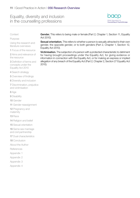

<span id="page-10-0"></span>**[Context](#page-4-0)** 

[Purpose](#page-4-0)

[Using the research and](#page-4-0)  [literature overviews](#page-4-0)

[1](#page-5-0) Focus of the resource

[2](#page-6-0) Aims and relevance of the resource

3 [Definition of terms and](#page-9-0)  [concepts under the](#page-9-0)  [Equality Act 2010](#page-9-0)

4 Search strategy

[5](#page-12-0) Overview of findings

6 [Diversity and inclusion](#page-13-0)

7 [Discrimination, prejudice](#page-14-0)  [and victimisation](#page-14-0)

8 [Age](#page-15-0)

9 [Disability](#page-16-0)

10 [Gender](#page-40-0)

11 [Gender reassignment](#page-41-0)

[12](#page-42-0) Pregnancy and maternity

13 [Race](#page-13-0)

14 [Religion and belief](#page-14-0)

15 [Sexual orientation](#page-15-0)

16 [Same sex marriage](#page-16-0)  [and civil partnership](#page-16-0)

**17 [Dual characteristics](#page-40-0)** 

[18](#page-41-0) Conclusion

About the Autho[r](#page-43-0)

[References](#page-52-0)

Appendix 1

Appendix 2

Appendix 3

Appendix 4

Gender. This refers to being male or female (Part 2, Chapter 1, Section 11, Equality Act 2010).

Sexual orientation. This refers to whether a person is sexually attracted to their own gender, the opposite gender, or to both genders (Part 2, Chapter 1, Section 12, Equality Act 2010).

Victimisation. The subjection of a person with a protected characteristic to detriment for having brought proceedings under the Equality Act, for giving evidence or information in connection with the Equality Act, or for making an express or implied allegation of any breach of the Equality Act (Part 2, Chapter 2, Section 27 Equality Act 2010).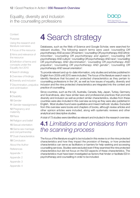

<span id="page-11-0"></span>**[Context](#page-4-0)** 

[Purpose](#page-4-0)

[Using the research and](#page-4-0)  [literature overviews](#page-4-0)

[1](#page-5-0) Focus of the resource

[2](#page-6-0) Aims and relevance of the resource

3 [Definition of terms and](#page-9-0)  [concepts under the](#page-9-0)  [Equality Act 2010](#page-9-0)

4 [Search strategy](#page-10-0)

[5](#page-12-0) Overview of findings

6 [Diversity and inclusion](#page-13-0)

7 [Discrimination, prejudice](#page-14-0)  [and victimisation](#page-14-0)

8 [Age](#page-15-0)

9 [Disability](#page-16-0)

10 [Gender](#page-40-0)

11 [Gender reassignment](#page-41-0)

[12](#page-42-0) Pregnancy and maternity

13 [Race](#page-13-0)

14 [Religion and belief](#page-14-0)

15 [Sexual orientation](#page-15-0)

16 [Same sex marriage](#page-16-0)  [and civil partnership](#page-16-0)

**17** [Dual characteristics](#page-40-0)

[18](#page-41-0) Conclusion

About the Autho[r](#page-43-0)

[References](#page-52-0)

Appendix 1

Appendix 2

Appendix 3

Appendix 4

# **4** Search strategy

Databases, such as the Web of Science and Google Scholar, were searched for relevant studies. The following search terms were used: '*counselling OR psychotherapy AND access OR barriers*'; '*counselling OR psychotherapy AND ethnic minorities*'; '*counselling OR psychotherapy and ageism*'; '*counselling OR psychotherapy AND culture*'; '*counselling OR psychotherapy AND race*'; '*counselling OR psychotherapy AND discrimination*'; '*counselling OR psychotherapy AND prejudice*'; '*counselling OR psychotherapy AND gender*'; '*counselling OR psychotherapy AND sexual orientation*'.

To provide relevant and up-to-date information, only studies and articles published in English from 2009 until 2015 were included. The focus of the literature search was to identify literature that focused on: protected characteristics as they pertain to counselling professions in the UK, as well as how issues of equality, diversity and inclusion and the nine protected characteristics are integrated into the context and practice of counselling.

Since countries, such as the US, Australia, Canada, Italy, Japan, Turkey, Germany and Scandinavia, also have similar laws and professional practices that promote diversity and inclusion as well as protect similar characteristics, studies from these countries were also included in this overview as long as they were also published in English. Most studies found were qualitative and mixed methods' studies. Excluded from this overview were books and chapters of books, although review articles and other opinion articles were included, along with systematic reviews and other analytical and descriptive studies.

A total of 73 studies were identified as relevant and included in the research overview.

# **4.1** *Limitations and omissions from the scanning process*

The focus of the literature sought to be included in this review is on the nine protected characteristics and how they impact the provision of therapy, or how protected characteristics can serve as facilitators or barriers for help-seeking and accessing counselling services. Studies were excluded even if they examined the nine protected characteristics but did not focus on the EDI aspects of these characteristics. The characteristics must have been investigated as factors that hinder or facilitate EDI in psychotherapy and counselling in order to be included.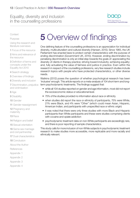

<span id="page-12-0"></span>**[Context](#page-4-0)** 

[Purpose](#page-4-0)

[Using the research and](#page-4-0)  [literature overviews](#page-4-0)

[1](#page-5-0) Focus of the resource

[2](#page-6-0) Aims and relevance of the resource

3 [Definition of terms and](#page-9-0)  [concepts under the](#page-9-0)  [Equality Act 2010](#page-9-0)

4 [Search strategy](#page-10-0)

5 Overview of findings

6 [Diversity and inclusion](#page-13-0)

7 [Discrimination, prejudice](#page-14-0)  [and victimisation](#page-14-0)

8 [Age](#page-15-0)

9 [Disability](#page-16-0)

10 [Gender](#page-40-0)

11 [Gender reassignment](#page-41-0)

[12](#page-42-0) Pregnancy and maternity

- 13 [Race](#page-13-0)
- 14 [Religion and belief](#page-14-0)
- 15 [Sexual orientation](#page-15-0)

16 [Same sex marriage](#page-16-0)  [and civil partnership](#page-16-0)

**17** [Dual characteristics](#page-40-0)

[18](#page-41-0) Conclusion

About the Autho[r](#page-43-0)

[References](#page-52-0)

- Appendix 1
- Appendix 2
- Appendix 3
- Appendix 4

# **5** Overview of findings

One defining feature of the counselling professions is an appreciation for individual diversity, multiculturalism and cultural diversity (Hansen, 2010). Since 1965, the UK Parliament has enacted laws to protect certain characteristics with the purpose of ending discrimination (Government UK, 2010). However, ending discrimination by penalising discrimination is only an initial step towards the goals of: appreciating the diversity of clients in therapy practice; striving toward inclusivity; achieving equality; and, fully actualising the value of fairness and justice in practice. Even within the research in respect of the counselling professions, very few research studies include research topics with people who have protected characteristics, or other diverse needs.

Watkins (2012) poses the question of whether psychological research has been 'inclusive' enough. This article reports on a meta-analysis of 104 short-term and longterm psychodynamic treatments. The findings suggest that:

- while all 104 studies reported on gender and age information, most did not report the socioeconomic status or educational level.
- 75% of the studies provided no information about race or ethnicity
- when studies did report the race or ethnicity of participants, 75% were White, 21% were Black, and 4% were "Other" (which could mean Asian, Hispanic, American Indian, and participants with unspecified race or ethnic origin)
- it was noted that there were only three studies with more Black and Hispanic participants than White participants and these were studies comprising clients with cocaine and opiate addiction
- psychodynamic treatment data on non-White participants are exceedingly rare, and there is poor reporting of sample characteristics.

This study calls for more inclusion of non-White subjects in psychodynamic treatment research to make studies more accessible, more replicable and more racially and ethnically relevant.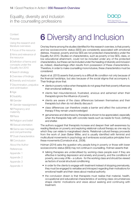

<span id="page-13-0"></span>**[Context](#page-4-0)** 

[Purpose](#page-4-0)

[Using the research and](#page-4-0)  [literature overviews](#page-4-0)

[1](#page-5-0) Focus of the resource

[2](#page-6-0) Aims and relevance of the resource

3 [Definition of terms and](#page-9-0)  [concepts under the](#page-9-0)  [Equality Act 2010](#page-9-0)

4 [Search strategy](#page-10-0)

- [5](#page-12-0) Overview of findings
- 6 Diversity and inclusion

7 [Discrimination, prejudice](#page-14-0)  [and victimisation](#page-14-0)

8 [Age](#page-15-0)

9 [Disability](#page-16-0)

10 [Gender](#page-40-0)

11 [Gender reassignment](#page-41-0)

[12](#page-42-0) Pregnancy and maternity

- 13 Race
- 14 [Religion and belief](#page-14-0)
- 15 [Sexual orientation](#page-15-0)

16 [Same sex marriage](#page-16-0)  [and civil partnership](#page-16-0)

**17** [Dual characteristics](#page-40-0)

[18](#page-41-0) Conclusion

About the Autho[r](#page-43-0)

- **[References](#page-52-0)**
- Appendix 1
- Appendix 2
- Appendix 3

Appendix 4

# **6** Diversity and Inclusion

One key theme among the studies identified for this research overview, is that poverty and low socioeconomic status (SES) are consistently associated with emotional distress. However, poverty and low SES are not protected characteristics under the Equality Act 2010. Studies on characteristics, such as poverty or low SES, class, or low educational attainment, could not be included under any of the protected characteristics, but these can be included under the heading of diversity and inclusion as, indeed, disadvantage often results from possession of these characteristics. Therefore, in order to make counselling more inclusive, these characteristics must be considered.

Appio et al. (2013) asserts that poverty is a difficult life condition not only because of the financial hardships, but also because of the social stigma that accompany it. Their findings show that:

- clients in poverty notice when therapists do not grasp that their poverty influences their emotional wellbeing
- clients feel misunderstood, frustrated, anxious and ashamed when their therapists ignore the influence of poverty
- clients are aware of the class differences between themselves and their therapists but often do not directly discuss it
- class differences can therefore create a barrier and affect the outcomes of therapy if they remain unacknowledged
- genuineness and directness by therapists is shown to be appreciated, especially when the therapists help with concrete needs such as needs for food, clothing and shelter.

The authors suggest that therapists increase and deepen their self-awareness by reading literature on poverty and exploring relational-cultural therapy as one way by which they can relate to marginalised clients. Relational-cultural therapy proceeds from the work of Jean Baker Miller, and is usually identified with feminist and multicultural movements in psychology as it embraces social justice principles from these movements (Comstock et al., 2008).

Holman (2014) asks the question why people living in poverty or those with lower socioeconomic status (SES) may not continue in counselling. Holman asserts that:

- talking therapies are underutilised by working-class people even if they are effective in tackling depression and anxiety and poverty, and the conditions of poverty, are a way of life – a culture - for the working class and should be viewed as factors of social structural conditioning
- in order for the clients to engage with treatment instead of stopping prematurely, they must be engaged to verbalise and introspect regarding their motivations for emotional health and their views about medical authority
- the conclusion drawn is that therapists must realise that material, health, occupational and educational characteristics of working-class circumstances shape clients' motivations and views about seeking and continuing with treatment.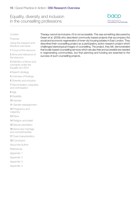

### <span id="page-14-0"></span>**[Context](#page-4-0)**

### [Purpose](#page-4-0)

[Using the research and](#page-4-0)  [literature overviews](#page-4-0)

[1](#page-5-0) Focus of the resource

[2](#page-6-0) Aims and relevance of the resource

3 [Definition of terms and](#page-9-0)  [concepts under the](#page-9-0)  [Equality Act 2010](#page-9-0)

4 [Search strategy](#page-10-0)

[5](#page-12-0) Overview of findings

6 [Diversity and inclusion](#page-13-0)

7 Discrimination, prejudice and victimisation

8 [Age](#page-15-0)

9 [Disability](#page-16-0)

10 [Gender](#page-40-0)

11 [Gender reassignment](#page-41-0)

[12](#page-42-0) Pregnancy and maternity

13 [Race](#page-13-0)

14 Religion and belief

15 [Sexual orientation](#page-15-0)

16 [Same sex marriage](#page-16-0)  [and civil partnership](#page-16-0)

**17** [Dual characteristics](#page-40-0)

[18](#page-41-0) Conclusion

About the Autho[r](#page-43-0)

[References](#page-52-0)

- Appendix 1
- Appendix 2
- Appendix 3
- Appendix 4

Therapy cannot be inclusive, if it is not accessible. This was something discussed by Green et al. (2009) who described community-based projects that accompany the social and economic regeneration of inner-city housing estates in East London. They described their counselling project as a participatory action research project which challenged stereotypical images of counselling. The project, they felt, demonstrated that locally-based counselling services which are also free and accessible are needed in regenerating communities, but that planning and funding are essential to the success of such counselling projects.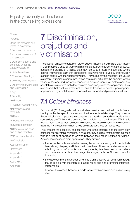

### <span id="page-15-0"></span>**[Context](#page-4-0)**

[Purpose](#page-4-0)

[Using the research and](#page-4-0)  [literature overviews](#page-4-0)

[1](#page-5-0) Focus of the resource

[2](#page-6-0) Aims and relevance of the resource

3 [Definition of terms and](#page-9-0)  [concepts under the](#page-9-0)  [Equality Act 2010](#page-9-0)

4 [Search strategy](#page-10-0)

[5](#page-12-0) Overview of findings

6 [Diversity and inclusion](#page-13-0)

7 [Discrimination, prejudice](#page-14-0)  [and victimisation](#page-14-0)

8 Age

9 [Disability](#page-16-0)

10 [Gender](#page-40-0)

11 [Gender reassignment](#page-41-0)

[12](#page-42-0) Pregnancy and maternity

13 [Race](#page-13-0)

14 [Religion and belief](#page-14-0)

15 Sexual orientation

16 [Same sex marriage](#page-16-0)  [and civil partnership](#page-16-0)

**17** [Dual characteristics](#page-40-0)

[18](#page-41-0) Conclusion

About the Autho[r](#page-43-0)

- **[References](#page-52-0)**
- Appendix 1

Appendix 2

Appendix 3

Appendix 4

# **7** Discrimination, prejudice and victimisation

The question of how therapists can prevent discrimination, prejudice and victimisation in their practice is another theme within the studies. For instance, Mintz et al. (2009) suggest the drafting of a values statement so as to prevent the scenario where counselling trainees claim that professional requirements for diversity and inclusion stand in conflict with their personal values. They argue for the necessity of a values statement in training programmes, which can clearly articulate the diversity-related values of therapy, and make the connection between individual, professional and societal value structures that either reinforce or challenge systemic oppression. They also assert that a values statement will enable trainees to develop philosophical sophistication by which they can reconcile their personal and professional values.

# **7.1** *Colour blindness*

Bartoli et al. (2015) suggests that past studies have focused on the impact of racial identity on the therapeutic process and the therapeutic relationship. They observe that multicultural competence in counsellors is based on an additive model where counsellors are White and clients are from racial or ethnic minorities. Within this model, racial identity must be openly discussed because discomfort in discussing racial identity preserves the normativity of what is described as 'Whiteness'.

They present the possibility of a scenario where the therapist and the client both belong to racial or ethnic minorities. In this case, they suggest that the issue might be who is a victim of oppression or who between their races (Latinos or African-Americans) experience more oppression. They discuss:

- the concept of racial socialisation, seeing this as the process by which individuals learn about, interpret, and interact with members of their own and other racial or ethnic groups. Informants such as parents, teachers and counsellors communicate racial hierarchies, ways of managing racial conflict, and norms for interacting
- they also comment that colour blindness is an ineffective but common strategy that is applied with the intent of erasing racial bias and promoting interracial relationships
- however, they assert that colour blindness merely breeds aversion to discussing race.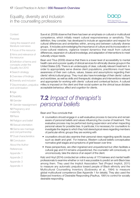

### <span id="page-16-0"></span>**[Context](#page-4-0)**

[Purpose](#page-4-0)

[Using the research and](#page-4-0)  [literature overviews](#page-4-0)

[1](#page-5-0) Focus of the resource

[2](#page-6-0) Aims and relevance of the resource

3 [Definition of terms and](#page-9-0)  [concepts under the](#page-9-0)  [Equality Act 2010](#page-9-0)

4 [Search strategy](#page-10-0)

[5](#page-12-0) Overview of findings

6 [Diversity and inclusion](#page-13-0)

7 [Discrimination, prejudice](#page-14-0)  [and victimisation](#page-14-0)

8 [Age](#page-15-0)

9 Disability

10 [Gender](#page-40-0)

11 [Gender reassignment](#page-41-0)

[12](#page-42-0) Pregnancy and maternity

13 [Race](#page-13-0)

14 [Religion and belief](#page-14-0)

15 [Sexual orientation](#page-15-0)

16 Same sex marriage and civil partnership

**17** [Dual characteristics](#page-40-0)

[18](#page-41-0) Conclusion

About the Autho[r](#page-43-0)

- **[References](#page-52-0)**
- Appendix 1
- Appendix 2
- Appendix 3

Appendix 4

Sue et al. (2009) observe that there has been an emphasis on cultural or multicultural competence, which initially meant cultural responsiveness or sensitivity. This definition, they consider, has developed to include an appreciation and respect for cultural differences and similarities within, among and between culturally diverse groups. It includes acknowledging the importance of culture and its incorporation in cross-cultural relations, vigilance toward dynamics that result from cultural differences, expansion of cultural knowledge, and adaptation of interventions to meet culturally unique needs.

Bean and Titus (2009) observe that there is a lower level of accessibility to mental health care and a poorer quality of clinical services for ethnically diverse groups in the United States (US). There is an undersupply of clear, culturally relevant treatment. In order to appropriately serve diverse client populations, practitioners must have awareness of their own culture, values, biases and assumptions regarding their clients' ethnic/cultural group. They must also have knowledge of their clients' culture and worldview, as well as skills and therapeutic strategies and interventions relevant and appropriate for working with clients' cultural and contextual factors. A cultural milieu is imposed on the client and their social system as the clinical issue dictates acceptable behaviour, affect and cognition for clients.

# **7.2** *Impact of therapist's personal beliefs*

Bean and Titus conclude that:

- counsellors should engage in a self-evaluative process to become and remain aware of personal beliefs and values influencing the course of treatment. This evaluative process may be performed during supervision and when inspecting personal values for possible bias. In particular, it is necessary for counsellors to investigate the degree to which they hold stereotypical views regarding members of particular ethnic groups they are working with
- counsellors should also examine their personal views regarding specific issues such as death and grief. For instance, Western cultural beliefs conceptualise normative grief stages and symptoms of grief lessen over time
- these perspectives, are often ingrained and unquestioned but often facilitate a cultural gap and if it remains unquestioned, the counsellor will consciously, or unconsciously, take the stance of an expert of the client.

Katz and Hoyt (2014) conducted an online survey of 173 trainees and mental health professionals to examine whether or not it was possible to predict an anti-Black bias among them. They used the Implicit Association Test (Project Implicit, 2011) to measure any automatic prejudice toward people of Black ethnicity and the Multicultural Counselling Inventory (Sodowsky et al., 1994) to measure global multicultural competence (See Appendix 1 for details). They also used the Balanced Inventory of Desirable Responding (Paulhus, 1991) to control for socially desirable responding.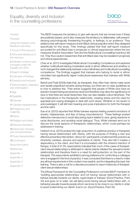

### **[Context](#page-4-0)**

[Purpose](#page-4-0)

[Using the research and](#page-4-0)  [literature overviews](#page-4-0)

[1](#page-5-0) Focus of the resource

[2](#page-6-0) Aims and relevance of the resource

3 [Definition of terms and](#page-9-0)  [concepts under the](#page-9-0)  [Equality Act 2010](#page-9-0)

4 [Search strategy](#page-10-0)

[5](#page-12-0) Overview of findings

- 6 [Diversity and inclusion](#page-13-0)
- 7 [Discrimination, prejudice](#page-14-0)  [and victimisation](#page-14-0)

8 [Age](#page-15-0)

9 [Disability](#page-16-0)

10 [Gender](#page-40-0)

11 [Gender reassignment](#page-41-0)

[12](#page-42-0) Pregnancy and maternity

13 [Race](#page-13-0)

14 [Religion and belief](#page-14-0)

15 [Sexual orientation](#page-15-0)

16 [Same sex marriage](#page-16-0)  [and civil partnership](#page-16-0)

**17** [Dual characteristics](#page-40-0)

[18](#page-41-0) Conclusion

About the Autho[r](#page-43-0)

- **[References](#page-52-0)**
- Appendix 1

Appendix 2

Appendix 3

Appendix 4

The BIDR measures the tendency to give self-reports that are honest even if these are positively biased, and it also measures the tendency to deliberately 'self-present' denying psychologically threatening thoughts, or feelings, to an audience. They added a new self-report measure of anti-Black clinical prejudice which they designed specifically for this study. Their findings yielded that their self-report measure accounted for anti-Black bias in prognosis or clinical expectancies where the two measures (Implicit Association Test and the Multicultural Counselling Inventory) did not. They thus caution researchers that anti-Black bias may be revealed in prognosis and clinical expectancies.

Chao et al. (2011) investigated Multicultural Counselling Competence and explored whether multicultural training moderated racial or ethnic differences and whether or not it changed the relationship between colour-blindness and multicultural counselling competence. The findings suggest that trainees who belong to racial or ethnic minorities had significantly higher multicultural awareness than trainees with White ethnicity.

Bartoli and Pyati (2009) state that, as therapists, they often hear clients make racist and racially prejudiced remarks during therapy, but there are no clear guidelines as to how to address this. Their article suggests that people of White race have an aversion toward being perceived as racist and therefore may deny the significance of race or that there are racial hierarchies; they can also idealise colour-blindness. This has implications in the therapeutic relationship, creating stress and the need for appraisal and coping strategies to deal with such stress. Whether or not racism is acknowledged, it will still hold meaning and pose implications for both the therapist and the client.

Sue et al. (2010) reported that White trainees express feeling powerful emotions of anxiety, helplessness, and fear of being misunderstood. These feelings evoked defensive manoeuvres to avoid discussing topics related to race, giving reactions to racial disclosures, and avoiding racial dialogue. Thus, White trainees tend not to discuss the racial aspects of therapeutic relationships, which could perhaps be addressed in training.

Hollwich et al. (2015) probed the high proportion of unethical practice of therapists having sexual relationships with clients, with the purpose of finding a new and effective preventive intervention. About 421 participants condemned this practice as inherently careless, abusive and exploitative of clients. They also felt it creates a dependency in the client, and that it is inconsistent with the inherent intention of therapy. A total of 41.3% respondents indicated that much of the cases of therapistclient sexual relationships is attributed to clients (clients initiated the sexual/romantic relationship) and therefore there is a need for self-protection on the part of the therapist. The respondents exhibited a strong preference for confronting a colleague who is engaged in this kind of practice. It was concluded that there is a need to make any ethical requirements in this context more explicit, and for integrating this topic into training. There is also a call for a discrete procedure to report instances of therapistclient sexual relationships.

The *Ethical Framework for the Counselling Professions* commits BACP members to 'building appropriate relationships' and not having 'sexual relationships with or behave sexually towards our clients, supervisees or trainees' (Good Practice, Point 34) and goes on to state 'we will [also] avoid having sexual relationships with, or behaving sexually towards people whom we know to be close to our clients in order to avoid undermining our clients' trust in us'. (Good Practice, Point 35)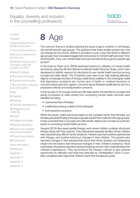

<span id="page-18-0"></span>**[Context](#page-4-0)** 

[Purpose](#page-4-0)

[Using the research and](#page-4-0)  [literature overviews](#page-4-0)

[1](#page-5-0) Focus of the resource

[2](#page-6-0) Aims and relevance of the resource

3 [Definition of terms and](#page-9-0)  [concepts under the](#page-9-0)  [Equality Act 2010](#page-9-0)

4 [Search strategy](#page-10-0)

[5](#page-12-0) Overview of findings

6 [Diversity and inclusion](#page-13-0)

7 [Discrimination, prejudice](#page-14-0)  [and victimisation](#page-14-0)

8 [Age](#page-15-0)

9 [Disability](#page-16-0)

10 [Gender](#page-40-0)

11 [Gender reassignment](#page-41-0)

[12](#page-42-0) Pregnancy and maternity

13 [Race](#page-13-0)

14 [Religion and belief](#page-14-0)

15 [Sexual orientation](#page-15-0)

16 [Same sex marriage](#page-16-0)  [and civil partnership](#page-16-0)

**17** [Dual characteristics](#page-40-0)

[18](#page-41-0) Conclusion

About the Autho[r](#page-43-0)

**[References](#page-52-0)** 

Appendix 1

Appendix 2

Appendix 3

Appendix 4



The common theme in studies exploring the issue of age is whether or not therapy can benefit specific age groups. The questions that these studies answer are: how can therapy be structured, offered or provided in such a way that clients in different age groups have increased engagement and access to mental health services? And, what benefits, if any, can mental health services and interventions give to specific age groups?

A US study by Pepin et al. (2009) examined barriers to utilisation of mental health services by using the 56-item Barriers to Mental Health Services' Scale, which were developed to identify reasons for reluctance to use mental health services among younger and older adults. The 10 barriers were seen to be: help-seeking attitudes; stigma; knowledge and fear of therapy; belief about inability to find a therapist; belief that depressive symptoms are normal; lack of health or medical insurance or concerns about payment; ageism; concerns about therapist qualifications; lack of a physician's referral; and transportation concerns.

In this sample of 76 younger adults and 88 older adults, the barriers for younger and adults (compared to older adults) from accessing mental health services were identified as being:

- a perceived fear of therapy
- a belief about being unable to find a therapist
- and insurance concerns.

Within this study, males perceived stigma to be a greater barrier than females, but females perceived finding a therapist a greater barrier than males (in both age groups). It was concluded that, in younger and older adults, stigma was not seen as a primary barrier to accessing mental health services.

Haugvik (2013) discussed parallel therapy work where children undergo structured therapy along with their parents. They interviewed separate families whose children were experiencing difficult family situations. Parents reported positive experiences with therapy, and positive behaviour changes in their children. The parents also reported changes in their perspectives about their family situation and deepening insight into the factors that influenced changes in their children's behaviour. Most importantly, the parents reported having increasing concern with understanding their children's expressions. They recommend this therapy method to give parents opportunity for reflection and what they describe as 'mentalisation' which, in turn, they considered also helps their children reach their therapeutic goals.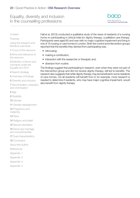

### **[Context](#page-4-0)**

### [Purpose](#page-4-0)

[Using the research and](#page-4-0)  [literature overviews](#page-4-0)

[1](#page-5-0) Focus of the resource

[2](#page-6-0) Aims and relevance of the resource

3 [Definition of terms and](#page-9-0)  [concepts under the](#page-9-0)  [Equality Act 2010](#page-9-0)

4 [Search strategy](#page-10-0)

[5](#page-12-0) Overview of findings

6 [Diversity and inclusion](#page-13-0)

7 [Discrimination, prejudice](#page-14-0)  [and victimisation](#page-14-0)

8 [Age](#page-15-0)

9 [Disability](#page-16-0)

10 [Gender](#page-40-0)

11 [Gender reassignment](#page-41-0)

[12](#page-42-0) Pregnancy and maternity

13 [Race](#page-13-0)

14 [Religion and belief](#page-14-0)

15 [Sexual orientation](#page-15-0)

16 [Same sex marriage](#page-16-0)  [and civil partnership](#page-16-0)

**17** [Dual characteristics](#page-40-0)

[18](#page-41-0) Conclusion

About the Autho[r](#page-43-0)

[References](#page-52-0)

Appendix 1

Appendix 2

Appendix 3

Appendix 4

Hall et al. (2013) conducted a qualitative study of the views of residents of a nursing home on participating in clinical trials for dignity therapy; a palliative care therapy. Participants were aged 65 and over with no major cognitive impairment and living in one of 15 nursing or care homes in London. Both the control and intervention groups reported that the benefits they derived from participating was:

• refocusing;

- making a contribution;
- interaction with the researcher or therapist; and,
- diversion from routine.

The findings suggest that participating in research, even when they were not part of the intervention group and did not receive dignity therapy, still led to benefits. The research also suggests that while dignity therapy may be beneficial to some residents of care homes, not all residents will benefit from it; for example, more research is needed to determine if residents, who may have major cognitive impairment, would also benefit from dignity therapy.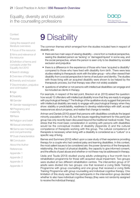

<span id="page-20-0"></span>**[Context](#page-4-0)** 

[Purpose](#page-4-0)

[Using the research and](#page-4-0)  [literature overviews](#page-4-0)

[1](#page-5-0) Focus of the resource

[2](#page-6-0) Aims and relevance of the resource

3 [Definition of terms and](#page-9-0)  [concepts under the](#page-9-0)  [Equality Act 2010](#page-9-0)

4 [Search strategy](#page-10-0)

[5](#page-12-0) Overview of findings

6 [Diversity and inclusion](#page-13-0)

7 [Discrimination, prejudice](#page-14-0)  [and victimisation](#page-14-0)

8 [Age](#page-15-0)

9 [Disability](#page-16-0)

10 [Gender](#page-40-0)

11 [Gender reassignment](#page-41-0)

[12](#page-42-0) Pregnancy and maternity

13 [Race](#page-13-0)

14 [Religion and belief](#page-14-0)

15 [Sexual orientation](#page-15-0)

16 [Same sex marriage](#page-16-0)  [and civil partnership](#page-16-0)

**17** [Dual characteristics](#page-40-0)

[18](#page-41-0) Conclusion

About the Autho[r](#page-43-0)

[References](#page-52-0)

- Appendix 1
- Appendix 2
- Appendix 3

Appendix 4

# **9** Disability

The common themes which emerged from the studies included here in respect of disability are:

- there are two main ways of viewing disability one is from a medical perspective, seeing the disabled person as 'lacking' or 'damaged/injured' in some way, and the social perspective, where the person is seen only to be disabled by societal exclusion and prejudice
- there is a difference in the experience of those who have 'acquired a disability' compared to those who have lived with disability form birth. There were less studies relating to therapeutic work with the latter group – who often viewed their disability from a social perspective in terms of exclusion and identity. The studies with those living with an acquired disability were shown to be helped by the therapeutic process, but that therapy was often not widely available
- questions of whether or not persons with intellectual disabilities can engage and be included as clients in therapy.

For example, in respect of the last point, Breckon et al. (2013) asked the question: how would 12 offenders with intellectual disability know that they are ready to engage with psychological therapy? The findings of the qualitative study suggest that persons with intellectual disability are ready to engage with psychological therapy when they show: stability or predictability, readiness to develop relationships with staff, accept reassurances about progress, and realise that change is needed.

Artman and Daniels (2010) assert that persons with disabilities constitute the largest minority population in the US, but the issues regarding treatment for this particular group has only recently been discussed beyond the traditional medical model. They stress that the most basic consideration in working with persons with disabilities would be the conceptual models of disability (Appendix 2) and the cultural competence of therapists working with this group. The cultural competence of therapists is necessary when living with a disability is considered as a "culture" or a specific way of living.

Barnes and Summers (2012) reflect upon a case study of their experience providing therapy for a couple who had cerebral palsy and learning disabilities. In this context, the most salient issues to be considered are: the power dynamics of the therapeutic relationship, the impact of physical disability, the capacity to give informed consent, and the effects of past abuse and whether or not these may be addressed in therapy.

Ueda and Tsuda (2013) studied young adults undergoing a four-month live-in rehabilitation programme for those with acquired visual impairment. Two groups were studied at two different rehabilitation centres. The intervention group of 37 adults were divided into two groups: one that received a Living Skills Training Programme with group counselling and one group that received a Living Skills Training Programme with group counselling and individual cognitive therapy. One limitation of this study was that the participants in the intervention group decided whether to also have individual cognitive therapy (they were not randomly assigned to receive the individual therapy).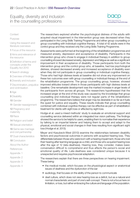

### **[Context](#page-4-0)**

#### [Purpose](#page-4-0)

[Using the research and](#page-4-0)  [literature overviews](#page-4-0)

[1](#page-5-0) Focus of the resource

[2](#page-6-0) Aims and relevance of the resource

3 [Definition of terms and](#page-9-0)  [concepts under the](#page-9-0)  [Equality Act 2010](#page-9-0)

4 [Search strategy](#page-10-0)

[5](#page-12-0) Overview of findings

6 [Diversity and inclusion](#page-13-0)

7 [Discrimination, prejudice](#page-14-0)  [and victimisation](#page-14-0)

8 [Age](#page-15-0)

9 [Disability](#page-16-0)

10 [Gender](#page-40-0)

11 [Gender reassignment](#page-41-0)

[12](#page-42-0) Pregnancy and maternity

13 [Race](#page-13-0)

14 [Religion and belief](#page-14-0)

15 [Sexual orientation](#page-15-0)

16 [Same sex marriage](#page-16-0)  [and civil partnership](#page-16-0)

**17** [Dual characteristics](#page-40-0)

[18](#page-41-0) Conclusion

About the Autho[r](#page-43-0)

**[References](#page-52-0)** 

Appendix 1

Appendix 2

Appendix 3

Appendix 4

The researchers explored whether the psychological distress of the adults with acquired visual impairment in the intervention group was decreased when they participated in the Living Skills Training Programme and either group counselling or group counselling with individual cognitive therapy. A total of 42 adults were in the control group and they received only the Living Skills Training Programme.

Assessments were performed at the beginning of the rehabilitation programmes and measured anxiety, depression and acceptance of disability. Participants in the intervention group who chose to engage in individual therapy in addition to group counselling showed decreased anxiety, depression and fatigue as well as a significant improvement in their acceptance of disability. Those participants from both the intervention group and the control group who, at baseline, had low psychological distress, showed decreased anxiety and increased acceptance of disability even when they did not participate in group counselling or individual cognitive therapy. Those who had high distress levels at baseline did not show any improvement on these two outcomes even with group counselling or individual therapy at the end of the rehabilitation programme. The group counselling group, however, showed improved attitudes toward others in those participants with high distress levels at baseline. One remarkable development was the marked increase in anger levels of the participants from across all groups. The researchers hypothesised that the increased anger at the end of the study was caused by the knowledge that group counselling and individual therapy were not regular parts of the rehabilitation programme. The researchers believe that anger may be desirable in so far as it fuels the quest for justice and equality. These results indicate that group counselling combined with individual cognitive therapy can be effective as part of rehabilitation treatment for clients with sight loss or affected by sight loss.

Hodge et al. used a mixed methods' study to evaluate an emotional support and counselling service delivered within an integrated low vision pathway. The findings showed the service to be helpful to users, enabling them to normalise their experience by talking to an impartial listener and helping them to accept and adapt to the physical, emotional and social changes in their lives resulting from significant sight loss (Hodge et al. 2013).

Meyer and Kasubeck-West (2013) examine the relationships between disability factors and psychosocial outcomes in persons with acquired hearing loss. They differentiate between those who were born with a hearing impairment, those who lost their hearing after learning language as a child, and those who acquired hearing loss after the age of 12 (late-deafness). Hearing loss, they consider, makes basic conversation difficult to comprehend and thus affects the person's social and emotional quality of life. Late-deafness was considered unique because it is unexpected and requires psychosocial adaptation.

The researchers explain that there are three perspectives on hearing impairment. These being:

- the medical model, which focuses on the physiological aspect or anatomical issues of deafness and the dysfunction of the ear
- audiology, that focuses on the ability of the person to communicate
- deaf culture, which does not view hearing loss as a deficit, but as a natural and normal characteristic and part of one's self-concept. There is not a focus here on limitation, or loss, but rather embracing the culture and language of the population.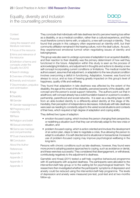

### **[Context](#page-4-0)**

### [Purpose](#page-4-0)

[Using the research and](#page-4-0)  [literature overviews](#page-4-0)

[1](#page-5-0) Focus of the resource

[2](#page-6-0) Aims and relevance of the resource

3 [Definition of terms and](#page-9-0)  [concepts under the](#page-9-0)  [Equality Act 2010](#page-9-0)

4 [Search strategy](#page-10-0)

[5](#page-12-0) Overview of findings

- 6 [Diversity and inclusion](#page-13-0)
- 7 [Discrimination, prejudice](#page-14-0)  [and victimisation](#page-14-0)
- 8 [Age](#page-15-0)
- 9 [Disability](#page-16-0)

10 [Gender](#page-40-0)

11 [Gender reassignment](#page-41-0)

[12](#page-42-0) Pregnancy and maternity

13 [Race](#page-13-0)

14 [Religion and belief](#page-14-0)

15 [Sexual orientation](#page-15-0)

16 [Same sex marriage](#page-16-0)  [and civil partnership](#page-16-0)

**17** [Dual characteristics](#page-40-0)

[18](#page-41-0) Conclusion

About the Autho[r](#page-43-0)

- **[References](#page-52-0)**
- Appendix 1
- Appendix 2
- Appendix 3

Appendix 4

They conclude that individuals with late deafness tend to perceive hearing loss either as a disability, or as a medical condition, rather than a cultural experience, and they must therefore come to terms with, or adjust to, a new self-concept or identity. They found that people in this category often experienced an identity-shift, but their community affiliation remained in the hearing culture, not in the deaf culture. As such, they experienced emotional turmoil when negotiating issues of identity and belongingness.

This group was also seen to undergo a process of adaptation to an acquired disability; and their reaction to their disability was the primary determinant of how well they functioned in the future. Adaptation within this study is seen as the process of acknowledging limitations, and adjustment in thoughts and actions to develop a new self-concept incorporating current conditions or limitations. The medical model the authors assert, assumes that adjustment, or adaptation to the new physical condition involves overcoming a deficit in functioning. Adaptation, however, was found not always to occur, and so loss of hearing greatly impacted on this group's level of happiness, quality of life and wellbeing.

They found that adaptation in late-deafness was affected by the extent of the disability, the age at the onset of the disability, perceived severity of the disability, selfconcept and the person's social support networks. The authors point out that in adulthood, self-concept already has a solid foundation based on a person's vocation, partnership, parenthood and social networks. It is seen as a daunting task to shift from an able-bodied identity to a differently-abled identity at this stage of life. Inevitably, their perception of independence decreases. Individuals with late-deafness were seen as needing to constantly adjust to the varied social situations and contexts of their lives, which required a high degree of adaptation and coping ability.

They defined two types of adaption:

- emotion-focused coping, which involves the person changing their perspective, or redefining a situation such that they can emotionally adapt to the new crisis or situation, and
- problem-focused coping, which is action oriented and involves the development of an action plan, steps to take to negotiate a crisis, thus allowing the person to adapt to a situation. It is self-directed and is situational or transactional. Increased use of problem-focused coping may improve psychological wellbeing in the long-term.

Persons with chronic conditions such as late-deafness, however, they found were more prone to adopting passive approaches to coping, such as avoidance or denial, and these were less successful. They considered that disengagement, or withdrawal, contributedg negatively to the adjustment to deafness.

Garnefski and Kraaij (2011) tested a self-help cognitive behavioural programme with 45 participants with acquired deafness. The participants were allocated to the intervention/self-help group or to the waiting list for psychological treatment. The researchers then investigated whether the participants' symptoms of depression and anxiety could be reduced using the intervention/self-help programme. The levels of depression and anxiety were measured pre-test, post-test and at two-months follow-up.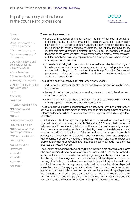

**[Context](#page-4-0)** 

[Purpose](#page-4-0)

[Using the research and](#page-4-0)  [literature overviews](#page-4-0)

[1](#page-5-0) Focus of the resource

[2](#page-6-0) Aims and relevance of the resource

3 [Definition of terms and](#page-9-0)  [concepts under the](#page-9-0)  [Equality Act 2010](#page-9-0)

4 [Search strategy](#page-10-0)

[5](#page-12-0) Overview of findings

6 [Diversity and inclusion](#page-13-0)

7 [Discrimination, prejudice](#page-14-0)  [and victimisation](#page-14-0)

8 [Age](#page-15-0)

9 [Disability](#page-16-0)

10 [Gender](#page-40-0)

11 [Gender reassignment](#page-41-0)

[12](#page-42-0) Pregnancy and maternity

13 [Race](#page-13-0)

14 [Religion and belief](#page-14-0)

15 [Sexual orientation](#page-15-0)

16 [Same sex marriage](#page-16-0)  [and civil partnership](#page-16-0)

**17** [Dual characteristics](#page-40-0)

[18](#page-41-0) Conclusion

About the Autho[r](#page-43-0)

**[References](#page-52-0)** 

Appendix 1

Appendix 2

Appendix 3

Appendix 4

The researchers assert that:

- people with acquired deafness increase the risk of developing emotional problems. Particularly, that they are 4.8 times more vulnerable to depression than people in the general population; usually, the more severe the hearing loss, the higher the risk for psychological dysfunction. And yet, few, they have found, receive help for their emotional distress. This could be, they consider, because the onset of late-deafness often limits communication options; rather than deal with their emotional distress, people with severe hearing loss often have to learn new ways of communicating
- counsellors working with persons with late-deafness often lack training and knowledge about adaptations they may need to make to their practice when working with this group. By contrast the self-help Cognitive-Behavioural programme used within this study did not require extensive clinical contact and could be done individually.

The self-help cognitive-behavioural intervention was found to:

- reduce waiting time for referral to mental health providers and for psychological interventions
- be easy to deliver through the postal service, internet and could therefore reach a number of people
- more importantly, the self-help component was seen to overcome barriers this client group had in respect of psychological treatment.

The results showed that the depression and anxiety symptoms in the intervention/ self-help group significantly improved after completion of the programme compared to those on the waiting list. There was no relapse during post-test and during followup testing.

In a Turkish study of perceptions of public school counsellors about including disabled students in mainstream schools, Sakiz et al. (2015) found that counsellors held positive attitudes about such inclusion. However, the qualitative study revealed that those same counsellors understood disability based on the deficiency model (that persons with disabilities have deficiencies and, thus, cannot participate fully in society; this is in contrast with the social model in which the deficiencies of a person with disabilities is socially constructed and defined). Furthermore, they also perceived problems translating conceptual and methodological knowledge into concrete practices that foster inclusion.

The question of the complexities of engaging in a therapeutic relationship with clients who have learning disabilities was explored by Jones (2014). The study involved 8 semi-structured interviews with counselling psychologists who were working with this client group. It is suggested that the therapeutic relationship is fundamental in working with clients who have learning disabilities, but establishing such a relationship is difficult because clients may have experienced past negative relationships that make them wary of engaging in relationships. The counsellor participants also mentioned that there is often a need for dual relationships when working with persons with disabilities (counsellor and also advocate for needs, for example). In their experience, they found that persons with disabilities need reassurance and this necessitates the development of skills for varying therapeutic approaches.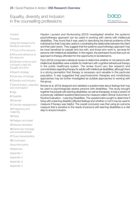

### **[Context](#page-4-0)**

### [Purpose](#page-4-0)

[Using the research and](#page-4-0)  [literature overviews](#page-4-0)

[1](#page-5-0) Focus of the resource

[2](#page-6-0) Aims and relevance of the resource

3 [Definition of terms and](#page-9-0)  [concepts under the](#page-9-0)  [Equality Act 2010](#page-9-0)

4 [Search strategy](#page-10-0)

[5](#page-12-0) Overview of findings

6 [Diversity and inclusion](#page-13-0)

7 [Discrimination, prejudice](#page-14-0)  [and victimisation](#page-14-0)

8 [Age](#page-15-0)

9 [Disability](#page-16-0)

10 [Gender](#page-40-0)

11 [Gender reassignment](#page-41-0)

[12](#page-42-0) Pregnancy and maternity

13 [Race](#page-13-0)

14 [Religion and belief](#page-14-0)

15 [Sexual orientation](#page-15-0)

16 [Same sex marriage](#page-16-0)  [and civil partnership](#page-16-0)

**17** [Dual characteristics](#page-40-0)

[18](#page-41-0) Conclusion

About the Autho[r](#page-43-0)

[References](#page-52-0)

Appendix 1

Appendix 2

Appendix 3

Appendix 4

Haydon Laurelut and Nunkoosing (2010) investigated whether the systemic psychotherapy approach can be useful in working with clients with intellectual disabilities. They found that it was useful in describing the internal problems of the individual but that it was also useful in coordinating the relationship between the client and their paid carers. They suggest that the systemic psychotherapy approach may be most beneficial for people who live with, and those who work in, services for persons with intellectual disabilities. In this regard, the participant found that such an approach to therapy afforded him the opportunity to be listened to.

Flynn (2012) conducted a literature review to determine whether or not persons with intellectual disabilities were suitable for treatment with cognitive behavioural therapy in the public healthcare system. The review found very few research and commentaries regarding therapy for adults with intellectual disabilities, although there is a strong perception that therapy is necessary and valuable in this particular population. It was suggested that psychodynamic therapies and mindfulness approaches may be further investigated as suitable approaches to working with this group.

Brooks et al. (2013) designed and validated a questionnaire about feelings that may be used to psychologically assess persons with disabilities. This study brought together five people with learning disabilities, as well as therapists, to test a version of a previously validated questionnaire/outcome measure called Clinical Outcomes in Routine Evaluation – Learning Disabilities. The questionnaire sought to determine if living with a learning disability affected feelings and whether or not it may be used to measure if therapy was helpful. The overall conclusion was that using an outcome measure that is sensitive to the needs of persons with learning disabilities is a vital step to ensure inclusion.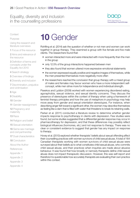

<span id="page-25-0"></span>**[Context](#page-4-0)** 

[Purpose](#page-4-0)

[Using the research and](#page-4-0)  [literature overviews](#page-4-0)

[1](#page-5-0) Focus of the resource

[2](#page-6-0) Aims and relevance of the resource

3 [Definition of terms and](#page-9-0)  [concepts under the](#page-9-0)  [Equality Act 2010](#page-9-0)

4 [Search strategy](#page-10-0)

[5](#page-12-0) Overview of findings

6 [Diversity and inclusion](#page-13-0)

7 [Discrimination, prejudice](#page-14-0)  [and victimisation](#page-14-0)

8 [Age](#page-15-0)

9 [Disability](#page-16-0)

10 [Gender](#page-40-0)

11 [Gender reassignment](#page-41-0)

[12](#page-42-0) Pregnancy and maternity

13 [Race](#page-13-0)

14 [Religion and belief](#page-14-0)

15 [Sexual orientation](#page-15-0)

16 [Same sex marriage](#page-16-0)  [and civil partnership](#page-16-0)

**17** [Dual characteristics](#page-40-0)

[18](#page-41-0) Conclusion

About the Autho[r](#page-43-0)

**[References](#page-52-0)** 

Appendix 1

Appendix 2

Appendix 3

Appendix 4

# **10** Gender

Rohlfing et al. (2014) ask the question of whether or not men and women can work together in group therapy. They examined a group with five female and five male clients. The researchers found that:

- women interacted more and were interacted with more frequently than the men in the group
- only 12.5% of the group interactions happened between men
- they also found that women uttered more expressive-emotional statements
- the women expressed equally positive and negative images of themselves, while the men presented themselves more negatively more often
- the researchers reached the conclusion that group therapy with a mixed group of males and females may favour women who have a more independent selfconcept, while men strive more for independence and individual strength.

Pseekos and Lyddon (2009) worked with women experiencing disordered eating, agoraphobia, sexual violence, and sexual identity concerns. They discuss the presence of stereotypes within the context of therapy when using a framework of feminist therapy principles and how the use of metaphors in psychology may help move away from gender and sexual orientation stereotypes. For instance, when describing anger felt toward a significant other, the women may describe themselves as feeling like a dam that is filled with water that threatens to break its retaining walls.

Parker et al. (2011) conducted a literature review to determine whether gender impacts response to psychotherapy in clients with depression. Few studies were found, but some studies suggested that a differential gender response may occur in pharmacotherapy for depression, and that these differences may possibly reflect biological influences (hormones, etc.) and not response to therapy. There was no clear or consistent evidence to suggest that gender has any impact on response to therapy.

Hovey et al. (2013) explored whether therapists' beliefs about sexual offending affect their counselling practices with women survivors of child sexual abuse. A total of 164 Canadian therapists working with women survivors of child sexual abuse were surveyed about their beliefs as to what constitutes child sexual abuse, who commits child sexual abuse, and their practices when inquiries are made about abusive behaviour. It was found that how broadly or narrowly therapists define child sexual abuse does not impact therapeutic discussion. However, this was self-report and therefore it is questionable how accurately therapists are evaluating their own practice within this context.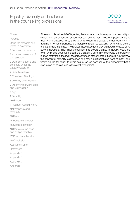

### **[Context](#page-4-0)**

[Purpose](#page-4-0)

[Using the research and](#page-4-0)  [literature overviews](#page-4-0)

[1](#page-5-0) Focus of the resource

[2](#page-6-0) Aims and relevance of the resource

3 [Definition of terms and](#page-9-0)  [concepts under the](#page-9-0)  [Equality Act 2010](#page-9-0)

4 [Search strategy](#page-10-0)

[5](#page-12-0) Overview of findings

6 [Diversity and inclusion](#page-13-0)

7 [Discrimination, prejudice](#page-14-0)  [and victimisation](#page-14-0)

8 [Age](#page-15-0)

9 [Disability](#page-16-0)

10 [Gender](#page-40-0)

11 [Gender reassignment](#page-41-0)

[12](#page-42-0) Pregnancy and maternity

13 [Race](#page-13-0)

14 [Religion and belief](#page-14-0)

15 [Sexual orientation](#page-15-0)

16 [Same sex marriage](#page-16-0)  [and civil partnership](#page-16-0)

**17** [Dual characteristics](#page-40-0)

[18](#page-41-0) Conclusion

About the Autho[r](#page-43-0)

[References](#page-52-0)

Appendix 1

Appendix 2

Appendix 3

Appendix 4

Shalev and Yerushalmi (2009), noting that classical psychoanalysis used sexuality to explain human behaviour, assert that sexuality is marginalised in psychoanalytic theory and practice. They ask: to what extent are sexual themes dominant in treatment? What importance do therapists attach to sexuality? And, what factors affect their role in therapy? To answer these questions, they gathered the views of 10 psychotherapists. Their findings suggest that sexual themes in therapy would be given emphasis depending upon: the therapist's belief in the centrality of sexuality in human motivation; the level of expressiveness of the therapeutic work; how narrow the concept of sexuality is described and how it is differentiated from intimacy; and finally, on the tendency to avoid sexual issues because of the discomfort that a discussion on this causes to the client or therapist.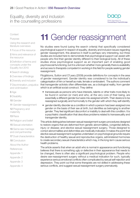

<span id="page-27-0"></span>**[Context](#page-4-0)** 

[Purpose](#page-4-0)

[Using the research and](#page-4-0)  [literature overviews](#page-4-0)

[1](#page-5-0) Focus of the resource

[2](#page-6-0) Aims and relevance of the resource

3 [Definition of terms and](#page-9-0)  [concepts under the](#page-9-0)  [Equality Act 2010](#page-9-0)

4 [Search strategy](#page-10-0)

[5](#page-12-0) Overview of findings

6 [Diversity and inclusion](#page-13-0)

7 [Discrimination, prejudice](#page-14-0)  [and victimisation](#page-14-0)

8 [Age](#page-15-0)

9 [Disability](#page-16-0)

10 [Gender](#page-40-0)

11 [Gender reassignment](#page-41-0)

[12](#page-42-0) Pregnancy and maternity

13 [Race](#page-13-0)

14 [Religion and belief](#page-14-0)

15 [Sexual orientation](#page-15-0)

16 [Same sex marriage](#page-16-0)  [and civil partnership](#page-16-0)

**17** [Dual characteristics](#page-40-0)

[18](#page-41-0) Conclusion

About the Autho[r](#page-43-0)

**[References](#page-52-0)** 

Appendix 1

Appendix 2

Appendix 3

Appendix 4

# **11** Gender reassignment

No studies were found (using the search criteria) that specifically considered psychological support in respect of equality, diversity and inclusion issues regarding gender reassignment, this absence in itself is perhaps very interesting, but three studies are included here to demonstrate that psychological support can assist with people who find their gender identity different to their biological body. All of these studies show psychological support as an important part of enabling good psychosocial functioning, but it is unknown whether more generally there is availability and access to therapists competent in working in this field for people seeking gender reassignment.

Fitzgibbons, Sutton and O'Leary (2009) provide definitions for concepts in the area of gender reassignment. Gender identity was considered to be the individual's categorisation of him or herself as male, female or ambivalent. The authors comment that transgender activists often differentiate sex, as a biological reality, from gender which is an artificial social construct. They define:

- transsexuals as persons who have interests, talents or other traits more likely to be found in women (or men) and who, at the very core of their being, are essentially a different gender but were mis-assigned at birth. Their desire is to be reassigned surgically and hormonally to the gender with which they self-identify
- gender identity disorder as a condition in which a person has been assigned one gender on the basis of their sex at birth, but identifies as belonging to another gender. They feel significant discomfort or inability to deal with this condition. It is a psychiatric classification that describes problems related to transsexuality and transgender identity.

This article distinguishes between sexual reassignment surgery procedures designed to restore organs that are deformed from genetic abnormalities, congenital defects, injury or disease; and elective sexual reassignment surgery. Those designed to correct abnormalities and deformities are medically indicated. It makes the point that elective sexual reassignment surgeries undertaken on psychological grounds require the destruction of healthy sexual and reproductive organs, administered hormones to create secondary sexual characteristics which may, in the long-term cause serious health problems.

The article asserts that when an adult who is normal in appearance and functioning believes that there is something ugly or defective in their appearance that needs to be changed, there is often also a significant psychological problem. People who desire sex-reassignment surgery without a medical indication for such, typically experience serious emotional conflicts often complicated by sexual self-rejection and depression. They point out that some therapists are not skilled in addressing these serious conflicts, and suggest sexual reassignment surgery prematurely.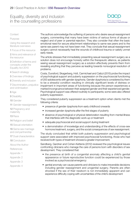

### **[Context](#page-4-0)**

### [Purpose](#page-4-0)

[Using the research and](#page-4-0)  [literature overviews](#page-4-0)

[1](#page-5-0) Focus of the resource

[2](#page-6-0) Aims and relevance of the resource

3 [Definition of terms and](#page-9-0)  [concepts under the](#page-9-0)  [Equality Act 2010](#page-9-0)

4 [Search strategy](#page-10-0)

[5](#page-12-0) Overview of findings

6 [Diversity and inclusion](#page-13-0)

7 [Discrimination, prejudice](#page-14-0)  [and victimisation](#page-14-0)

8 [Age](#page-15-0)

9 [Disability](#page-16-0)

10 [Gender](#page-40-0)

11 [Gender reassignment](#page-41-0)

[12](#page-42-0) Pregnancy and maternity

- 13 [Race](#page-13-0)
- 14 [Religion and belief](#page-14-0)

15 [Sexual orientation](#page-15-0)

16 [Same sex marriage](#page-16-0)  [and civil partnership](#page-16-0)

**17** [Dual characteristics](#page-40-0)

[18](#page-41-0) Conclusion

About the Autho[r](#page-43-0)

- **[References](#page-52-0)**
- Appendix 1
- Appendix 2
- Appendix 3
- Appendix 4

The authors acknowledge the suffering of persons who desire sexual reassignment surgery, commenting that many have been victims of various forms of abuse or neglect and of peer or parental rejection. They also consider that often the basic emotional need for secure attachment relationships to same-sex peers and to the same-sex parent may not have been met. They conclude that sexual reassignment surgery cannot necessarily heal the wounds of childhood trauma or satisfy unmet early needs.

The article stresses that immediately presenting sexual reassignment surgery as a solution does not encourage honesty within the therapeutic alliance, as patients seeing sexual reassignment surgery as a solution effectively prevents them from revealing anything that they perceive as leading towards nonsurgical resolution of problems.

Costa, Dunsford, Skagerberg, Holt, Carmichael and Calizzi (2015) probe the impact of psychological support and puberty suppression on the psychosocial functioning of 200 adolescents with gender dysphoria. Gender dysphoria is considered by them to be a stressful condition resulting in clinically significant levels of distress or impairment in important areas of functioning because the person experiences a marked incongruence between their assigned gender and their experienced gender. Psychological support was offered routinely to participants; some were also offered puberty suppression.

They considered puberty suppression as a treatment option when clients met the following criteria:

- presence of gender dysphoria from early childhood onwards
- increased gender dysphoria after the first stages of puberty
- absence of psychological or physical deterioration resulting from mental illness that interferes with the diagnostic work-up or treatment
- adequate psychosocial and social support during treatment
- a demonstration of knowledge and understanding of the effects of cross-sex hormone treatment, surgery, and the social consequences of sex reassignment.

The study concluded that whilst both puberty suppression and psychological support were associated with improved psychosocial functioning, those who had received both types of treatment showed a greater improvement.

Sandberg, Gardner and Cohen-Kettenis (2012) reviewed the psychological issues confronting clinicians who manage the care of persons born with disorders of sex development. They considered that:

- the presence at birth of a congenital anomaly affecting a child's genital appearance or future reproductive function could be experienced by those involved as a psychosocial emergency
- genital anomaly can cause parents and clinicians to make irreversible decisions including gender reassignment and urogenital surgery. Parents are often shocked if the sex of their newborn is not immediately apparent and can experience difficulty coping with uncertainties of the child's development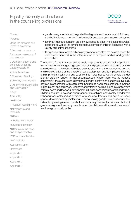

**[Context](#page-4-0)** 

[Purpose](#page-4-0)

[Using the research and](#page-4-0)  [literature overviews](#page-4-0)

[1](#page-5-0) Focus of the resource

[2](#page-6-0) Aims and relevance of the resource

3 [Definition of terms and](#page-9-0)  [concepts under the](#page-9-0)  [Equality Act 2010](#page-9-0)

4 [Search strategy](#page-10-0)

[5](#page-12-0) Overview of findings

6 [Diversity and inclusion](#page-13-0)

7 [Discrimination, prejudice](#page-14-0)  [and victimisation](#page-14-0)

8 [Age](#page-15-0)

9 [Disability](#page-16-0)

10 [Gender](#page-40-0)

11 [Gender reassignment](#page-41-0)

[12](#page-42-0) Pregnancy and maternity

13 [Race](#page-13-0)

14 [Religion and belief](#page-14-0)

15 [Sexual orientation](#page-15-0)

16 [Same sex marriage](#page-16-0)  [and civil partnership](#page-16-0)

**17** [Dual characteristics](#page-40-0)

[18](#page-41-0) Conclusion

About the Autho[r](#page-43-0)

[References](#page-52-0)

Appendix 1

Appendix 2

Appendix 3

Appendix 4

- gender assignment should be guided by diagnosis and long-term adult follow-up studies that focus on gender identity stability and other psychosexual outcomes
- family attitude and function are acknowledged to affect medical and surgical decisions as well as the psychosocial development of children diagnosed with a variety of medical conditions
- family and cultural factors will also play an important role in the perceptions of the child's condition and in the interpretation of complex medical and genetic information.

The authors found that counsellors could help parents assess their capacity to manage uncertainty regarding psychosocial and psychosexual outcomes as their child develops. They could also help parents understand more about the genetic and biological origins of the disorder of sex development and its implications for the child's physical health and quality of life, this it was hoped would enable gender identity stability. Under normal circumstances (where there was no genetic abnormality), the authors considered that gender identity and gender role typically develop in accordance with each other. Sexual self-awareness gradually develops during infancy and childhood. Cognitive and affective learning during interaction with parents, peers and the social environment influence gender identity and gender role. Children acquire knowledge about gender stereotypes and display gender-role behaviour characterised as feminine or masculine. Parents and peers influence gender development by reinforcing or discouraging gender-role behaviours and indirectly by serving as role models. It was not always certain that where a choice of gender assignment made by parents when the child was still a small infant would result in a good quality of life.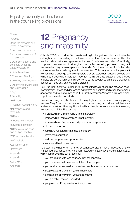

<span id="page-30-0"></span>**[Context](#page-4-0)** 

[Purpose](#page-4-0)

[Using the research and](#page-4-0)  [literature overviews](#page-4-0)

[1](#page-5-0) Focus of the resource

[2](#page-6-0) Aims and relevance of the resource

3 [Definition of terms and](#page-9-0)  [concepts under the](#page-9-0)  [Equality Act 2010](#page-9-0)

4 [Search strategy](#page-10-0)

[5](#page-12-0) Overview of findings

6 [Diversity and inclusion](#page-13-0)

7 [Discrimination, prejudice](#page-14-0)  [and victimisation](#page-14-0)

8 [Age](#page-15-0)

9 [Disability](#page-16-0)

10 [Gender](#page-40-0)

11 [Gender reassignment](#page-41-0)

[12](#page-42-0) Pregnancy and maternity

13 [Race](#page-13-0)

14 [Religion and belief](#page-14-0)

15 [Sexual orientation](#page-15-0)

16 [Same sex marriage](#page-16-0)  [and civil partnership](#page-16-0)

**17** [Dual characteristics](#page-40-0)

[18](#page-41-0) Conclusion

About the Autho[r](#page-43-0)

- [References](#page-52-0)
- Appendix 1
- Appendix 2
- Appendix 3
- Appendix 4

# **12** Pregnancy and maternity

Schmitz (2009) reports that Germany is seeking to change its abortion law. Under the old legislation, counselling committees support the physician who certifies the medical indication for testing as well as the need for a late-term abortion. Specifically, proposed new laws aim to strengthen the decision-making process of pregnant women when they receive a prenatal diagnosis of an illness or condition in the baby or the mother that may bring abortion as an option. This study asserts that pregnant women should undergo counselling before they are tested for genetic disorders and while they are considering late-term abortion, as this will enable autonomous choices and also protect the rights of the unborn child as the decision to terminate a pregnancy cannot be made only on medical indications.

Hall, Kusunoki, Gatny & Barber (2015) investigated the relationships between social discrimination, stress and depression symptoms and unintended pregnancy among adolescent and young women aged 18-21 in the American Midwest in this longitudinal population-based cohort study.

Unintended pregnancy is disproportionately high among poor and minority young women. They found that unintended or unplanned pregnancy during adolescence and young adulthood has significant health and social consequences for the young women and their families such as:

- increased risk of maternal and infant morbidity
- increased risk of maternal and infant mortality
- increased risk of ante-natal and post-partum depression
- domestic violence
- rapid and repeated unintended pregnancy
- interrupted education
- reduced employment opportunities
- substantial health care costs.

To determine whether or not they experienced discrimination because of their unintended pregnancy, they were administered the Everyday Discrimination Scale, which comprises nine items, such as:

- you are treated with less courtesy than other people
- you are treated with less respect than other people
- you receive poorer service than other people at restaurants or stores
- people act as if they think you are not smart
- people act as if they think you are dishonest
- you are called names or insulted
- people act as if they are better than you are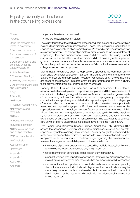

**[Context](#page-4-0)** 

[Purpose](#page-4-0)

[Using the research and](#page-4-0)  [literature overviews](#page-4-0)

[1](#page-5-0) Focus of the resource

[2](#page-6-0) Aims and relevance of the resource

3 [Definition of terms and](#page-9-0)  [concepts under the](#page-9-0)  [Equality Act 2010](#page-9-0)

4 [Search strategy](#page-10-0)

[5](#page-12-0) Overview of findings

6 [Diversity and inclusion](#page-13-0)

7 [Discrimination, prejudice](#page-14-0)  [and victimisation](#page-14-0)

8 [Age](#page-15-0)

9 [Disability](#page-16-0)

10 [Gender](#page-40-0)

11 [Gender reassignment](#page-41-0)

[12](#page-42-0) Pregnancy and maternity

13 [Race](#page-13-0)

14 [Religion and belief](#page-14-0)

15 [Sexual orientation](#page-15-0)

16 [Same sex marriage](#page-16-0)  [and civil partnership](#page-16-0)

**17** [Dual characteristics](#page-40-0)

[18](#page-41-0) Conclusion

About the Autho[r](#page-43-0)

**[References](#page-52-0)** 

Appendix 1

Appendix 2

Appendix 3

Appendix 4

- you are threatened or harassed
- you are followed around in stores.

The study found that the participants experienced chronic social stressors which include discrimination and marginalisation. These, they concluded, could lead to ongoing psychological and physiological stress. Perceived social discrimination was also not uncommon. The strongest predictor of discrimination found, was adolescent pregnancy. Race and socioeconomic status did not, within this study, predict discrimination and the effects of discrimination did not have a greater impact on groups of women who are vulnerable because of race or socioeconomic status. Factors that predicted decreased experiences of discrimination were seen to be: college enrolment, and employment.

Mental health disorders, such as depression, appear to be common during pregnancy. Antenatal depression has been implicated as one of the several risk factors for post-partum depression. Research (Grigoriadis et al.), shows that there are associations between untreated antenatal depression and pre-term delivery, foetal growth retardation, pre-eclampsia and miscarriage.

Canady, Bullen, Holzman, Broman and Tian (2008) examined the potential associations between depression, depressive symptoms and lifelong experiences of discrimination. Its findings suggest that African-American women had greater levels of depressive symptoms than White women in mid-pregnancy. Self-reported discrimination was positively associated with depressive symptoms in both groups of women. Gender, race and socioeconomic discrimination were positively associated with depressive symptoms. Employed White women scored lower on the depression scale than unemployed women. Depressive symptoms remained high in African-American women regardless of employment status; which may be explained by lower workplace control, fewer promotion opportunities and lower salaries experienced by employed African-American women. The study points to potential links between lifetime discrimination and depressive symptoms in pregnancy.

Ertel, James-Todd, Kleinman, Krieger, Gillman, Wright and Rich-Edwards (2012) assess the association between self-reported racial discrimination and prenatal depressive symptoms among Black women. The study sought to understand the relations between racial discrimination, response to unfair treatment and depressive symptoms so as to contribute to the knowledge regarding the prevention and treatment strategies for prenatal depression. They consider that:

- the causes of prenatal depression are caused by multiple factors, but literature gives evidence that social stressors play a significant role
- racial discrimination contributes to depression during pregnancy
- pregnant women who reported experiencing lifetime racial discrimination had more depressive symptoms than those who had not reported racial discrimination
- studies indicate the importance of how individuals respond to, or cope with, discriminatory events. Individuals with higher socioeconomic status may be more likely to report racial discrimination but the mental health impact of discrimination may be greater in individuals with low educational attainment or limited resources.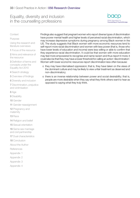

### **[Context](#page-4-0)**

[Purpose](#page-4-0)

[Using the research and](#page-4-0)  [literature overviews](#page-4-0)

[1](#page-5-0) Focus of the resource

[2](#page-6-0) Aims and relevance of the resource

3 [Definition of terms and](#page-9-0)  [concepts under the](#page-9-0)  [Equality Act 2010](#page-9-0)

4 [Search strategy](#page-10-0)

[5](#page-12-0) Overview of findings

6 [Diversity and inclusion](#page-13-0)

7 [Discrimination, prejudice](#page-14-0)  [and victimisation](#page-14-0)

8 [Age](#page-15-0)

9 [Disability](#page-16-0)

10 [Gender](#page-40-0)

11 [Gender reassignment](#page-41-0)

[12](#page-42-0) Pregnancy and maternity

### 13 [Race](#page-13-0)

14 [Religion and belief](#page-14-0)

15 [Sexual orientation](#page-15-0)

16 [Same sex marriage](#page-16-0)  [and civil partnership](#page-16-0)

**17** [Dual characteristics](#page-40-0)

[18](#page-41-0) Conclusion

About the Autho[r](#page-43-0)

[References](#page-52-0)

- Appendix 1
- Appendix 2
- Appendix 3
- Appendix 4

Findings also suggest that pregnant women who report diverse types of discrimination have poorer mental health and higher levels of perceived racial discrimination, which may increase depressive symptoms during pregnancy among Black women in the US. The study suggests that Black women with more economic resources tend to self-report more racial discrimination and women with less power (that is, those who have lower levels of education and income) were less willing or able to confirm that they experience racial discrimination. It could be that women with more education may feel more empowered to recognise and name racism and thus report it more; it could also be that they may have a lower threshold for calling an action 'discrimination'. Women with lower economic resources report discrimination less often because:

- o they may have internalised oppression; that is, they have taken on the views of the dominant culture and may be likely to view unfair treatment as deserved and non-discriminatory;
- o there is an inverse relationship between power and social desirability; that is, people are more desirable when they say what they think others want to hear as opposed to saying what they truly think.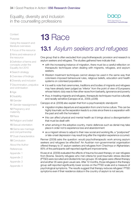

<span id="page-33-0"></span>**[Context](#page-4-0)** 

[Purpose](#page-4-0)

[Using the research and](#page-4-0)  [literature overviews](#page-4-0)

[1](#page-5-0) Focus of the resource

[2](#page-6-0) Aims and relevance of the resource

3 [Definition of terms and](#page-9-0)  [concepts under the](#page-9-0)  [Equality Act 2010](#page-9-0)

4 [Search strategy](#page-10-0)

[5](#page-12-0) Overview of findings

6 [Diversity and inclusion](#page-13-0)

7 [Discrimination, prejudice](#page-14-0)  [and victimisation](#page-14-0)

8 [Age](#page-15-0)

9 [Disability](#page-16-0)

10 [Gender](#page-40-0)

11 [Gender reassignment](#page-41-0)

[12](#page-42-0) Pregnancy and maternity

- 13 [Race](#page-13-0)
- 14 [Religion and belief](#page-14-0)

15 [Sexual orientation](#page-15-0)

16 [Same sex marriage](#page-16-0)  [and civil partnership](#page-16-0)

**17** [Dual characteristics](#page-40-0)

[18](#page-41-0) Conclusion

About the Autho[r](#page-43-0)

**[References](#page-52-0)** 

- Appendix 1
- Appendix 2
- Appendix 3
- Appendix 4

# **13** Race

# **13.1** *Asylum seekers and refugees*

One group that is often excluded from psychotherapeutic provision and research is asylum seekers and refugees. The studies gathered here indicate that:

- with the increasing instance of migration, there must be a careful reflection on therapeutic techniques when dealing with migrants, refugees, and asylum seekers.
- Western treatment techniques cannot always be used in the same way that colonisers imposed behavioural rules, religious beliefs, education and health systems on colonised populations
- it is well to note that ceremonies, traditions and bodies of migrants and refugees may have already been judged as 'inferior' from the point of view of Europeans whose historic duty was to free other races from barbarity, ignorance and poverty
- thus, in treating migrants and refugees, therapeutic techniques must be culturally and racially sensitive (Caroppo et al., 2009, p339).

Caroppo et al. (2009) also explain that from a psychoanalytic standpoint:

- migration implies departure and separation from one's home culture. This can be highly traumatic as the separation leads to a crisis since there is a separation with the past and with the homeland
- this can affect physical and mental health as it brings about a disorganisation that must be dealt with
- when arriving in the adoptive country, manic defences such as denial may take place in order not to experience loss and abandonment
- as a migrant strives to adjust to their new social and working life, a "postponed" or late-onset depression may result long after the migration experience occurred.

Renner (2009) asks the question: would psychotherapeutic work among asylum seekers and refugees be effective? An Austrian non-governmental organisation offered therapy to 37 asylum seekers and refugees from Chechnya or Afghanistan; 85% of the participants self-reported significant improvements.

Kruse et al. (2009) evaluated the effects of trauma-focused therapy on war refugees from Bosnia. Seventy refugees who met criteria for post-traumatic stress disorder (PTSD) were recruited and divided into two groups: 35 refugees were offered therapy and another 35 were given usual care. After 12 months, those refugees in the therapy group self-reported significantly lower scores on the PTSD scale and a measure of psychological symptoms. The results suggest that therapy reduces refugees' PTSD symptoms even if their residence status in the country of asylum is not secure.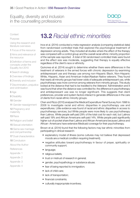

<span id="page-34-0"></span>**[Context](#page-4-0)** 

[Purpose](#page-4-0)

[Using the research and](#page-4-0)  [literature overviews](#page-4-0)

[1](#page-5-0) Focus of the resource

[2](#page-6-0) Aims and relevance of the resource

3 [Definition of terms and](#page-9-0)  [concepts under the](#page-9-0)  [Equality Act 2010](#page-9-0)

4 [Search strategy](#page-10-0)

[5](#page-12-0) Overview of findings

6 [Diversity and inclusion](#page-13-0)

7 [Discrimination, prejudice](#page-14-0)  [and victimisation](#page-14-0)

8 [Age](#page-15-0)

9 [Disability](#page-16-0)

10 [Gender](#page-40-0)

11 [Gender reassignment](#page-41-0)

[12](#page-42-0) Pregnancy and maternity

13 [Race](#page-13-0)

14 [Religion and belief](#page-14-0)

15 [Sexual orientation](#page-15-0)

16 [Same sex marriage](#page-16-0)  [and civil partnership](#page-16-0)

**17** [Dual characteristics](#page-40-0)

[18](#page-41-0) Conclusion

About the Autho[r](#page-43-0)

[References](#page-52-0)

- Appendix 1
- Appendix 2
- Appendix 3

Appendix 4

# **13.2** *Racial ethnic minorities*

Ince et al. (2014) conducted a meta-regression analysis (comparing statistical data) from randomised controlled trials that explored the psychological treatment of depression among adults. They included all studies where the effect of the therapy was compared with a control group and the overall racial-ethnic minority proportion of the sample was reported. A total of 56 randomised controlled trials were found and the effect size was moderate, suggesting that therapy is equally effective regardless of the client's race or ethnicity.

Quinones et al. (2014) sought to determine whether there were differences in the treatment of veterans in the armed forces with chronic depression by examining antidepressant use and therapy use among non-Hispanic Black, Non-Hispanic White, Hispanic, Asian and American Indian/Alaskan Native veterans. They found that nearly all minority groups had lower odds of adequate antidepressant use, while psychotherapy was more common among veterans from minority groups. This study looked at the distance that had to be travelled to the Veterans' Administration and it was found that when the distance was controlled for, the difference in psychotherapy and antidepressant use was no longer significant. This suggests that client preferences, provider and system factors interact to generate differences in the care of clients from racial-ethnic minority groups.

Chen and Rizzo (2010) analysed the Medical Expenditure Panel Survey from 1996 to 2006 to investigate racial and ethnic disparities in psychotherapy use and expenditures. Little evidence was found of racial and ethnic disparities in access to psychotherapy services, but White people were more likely to use psychotherapy than Latinos. White people self-paid 29% of the total cost for each visit, but Latinos self-paid 19% and African Americans self-paid 14%. White people paid significantly higher out-of-pocket share than Latinos and African-Americans because Latinos and African- Americans have extensive Medicaid coverage for their psychotherapy.

Brown et al. (2014) found that the following factors may bar ethnic minorities from participating in clinical research:

- explanatory model of illness (some cultures may not believe that depressed moods are a medical condition requiring treatment);
- negative attitudes toward psychotherapy in favour of prayer, spirituality or community support;
- language;
- religious beliefs;
- trust or mistrust of research in general;
- gender, psychopathology or substance abuse;
- fear of being reported to immigration;
- lack of child care;
- lack of transportation;
- financial constraints:
- culturally inappropriate incentives;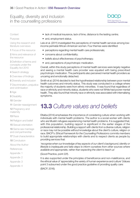

<span id="page-35-0"></span>**[Context](#page-4-0)** 

[Purpose](#page-4-0)

[Using the research and](#page-4-0)  [literature overviews](#page-4-0)

[1](#page-5-0) Focus of the resource

[2](#page-6-0) Aims and relevance of the resource

3 [Definition of terms and](#page-9-0)  [concepts under the](#page-9-0)  [Equality Act 2010](#page-9-0)

4 [Search strategy](#page-10-0)

[5](#page-12-0) Overview of findings

6 [Diversity and inclusion](#page-13-0)

7 [Discrimination, prejudice](#page-14-0)  [and victimisation](#page-14-0)

8 [Age](#page-15-0)

9 [Disability](#page-16-0)

10 [Gender](#page-40-0)

11 [Gender reassignment](#page-41-0)

[12](#page-42-0) Pregnancy and maternity

13 [Race](#page-13-0)

14 [Religion and belief](#page-14-0)

15 [Sexual orientation](#page-15-0)

16 [Same sex marriage](#page-16-0)  [and civil partnership](#page-16-0)

**17** [Dual characteristics](#page-40-0)

[18](#page-41-0) Conclusion

About the Autho[r](#page-43-0)

**[References](#page-52-0)** 

Appendix 1

Appendix 2

Appendix 3

Appendix 4

- lack of medical insurance, lack of time, distance to the testing centre;
- and, employment status.

Leis et al. (2011) investigated the perceptions of mental health services among lowincome perinatal African-American women. Four themes were identified:

- perceptions regarding mental health care professionals;
- concerns about confidentiality;
- beliefs about effectiveness of psychotherapy;
- and, perceptions of psychotropic medication.

Overall, within this study perceptions of mental health services were largely negative and seeing a mental health care provider was equated with being prescribed psychotropic medication. The participants also perceived mental health providers as uncaring and emotionally detached.

Smith et al. (2014) decided to test the hypothesised relationship between poor mental health outcomes and minority status. This study was conducted in a college where the majority of students were from ethnic minorities. It was found that regardless of race or ethnicity and minority status, students who were not White had poorer mental health. They also found that minority race or ethnicity was associated with internalising symptoms.

# **13.3** *Culture values and beliefs*

Eltaiba (2014) emphasises the importance of considering culture when working with individuals with mental health problems. The author is a social worker with clients who are Muslim refugees experiencing mental health problems. It is suggested that, with this population, building rapport is significant in the earlier stages of the professional relationship. Building a rapport with clients from a diverse culture, religion or race may not be possible without knowledge about the client's culture, religion or race. BACP's *Ethical Framework for the Counselling Professions* commits members to build appropriate relationships with clients and to respect clients as people by providing services that:

*'recognise when our knowledge of key aspects of our client's background, identity or*  lifestyle is inadequate and take steps to inform ourselves from other sources where *available and appropriate, rather than expecting the client to teach us'*

(Good Practice, point 22f).

It is also supported under the principles of beneficence and non-maleficence, and the ethical value of 'appreciating the variety of human experience and culture' (Values point 3 subsumed under the good practice guideline of providing quality care: (BACP, 2016).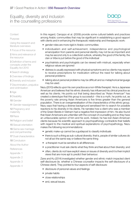

**[Context](#page-4-0)** 

[Purpose](#page-4-0)

[Using the research and](#page-4-0)  [literature overviews](#page-4-0)

[1](#page-5-0) Focus of the resource

[2](#page-6-0) Aims and relevance of the resource

3 [Definition of terms and](#page-9-0)  [concepts under the](#page-9-0)  [Equality Act 2010](#page-9-0)

4 [Search strategy](#page-10-0)

[5](#page-12-0) Overview of findings

6 [Diversity and inclusion](#page-13-0)

7 [Discrimination, prejudice](#page-14-0)  [and victimisation](#page-14-0)

8 [Age](#page-15-0)

9 [Disability](#page-16-0)

10 [Gender](#page-40-0)

11 [Gender reassignment](#page-41-0)

[12](#page-42-0) Pregnancy and maternity

13 [Race](#page-13-0)

14 [Religion and belief](#page-14-0)

15 [Sexual orientation](#page-15-0)

16 [Same sex marriage](#page-16-0)  [and civil partnership](#page-16-0)

17 [Dual characteristics](#page-40-0)

[18](#page-41-0) Conclusion

About the Autho[r](#page-43-0)

[References](#page-52-0)

- Appendix 1
- Appendix 2
- Appendix 3
- Appendix 4

In this regard, Caroppo et al. (2009) provide some cultural beliefs and practices among Arabic communities that may be significant in establishing a good rapport with clients and in enhancing the therapeutic relationship and therapeutic work:

- gender roles are more rigid in Arabic communities
- individualism and self-achievement, independence and psychological emancipation from parents and personal identity may not be as important and may be second only to a collectivist outlook, whereby the good of the family, the clan or tribe is put before the good of the individual
- psychiatrists and psychologists can be viewed with mistrust, especially when religious values are ignored
- distress is usually expressed with physical symptoms and so clients may expect to receive prescriptions for medication without the need for talking about personal problems
- talking about personal problems may be difficult and so metaphorical language may be used.

Nezu (2010) reflects upon his own practice as a non-White therapist. He is a Japanese American and believes that his ethnic diversity has influenced his clinical practice as well as his clients. He points out that being described as "Asian American" has created a stereotype that this group is successful – this is a myth, he points out, as the poverty rate among Asian Americans is five times greater than the general population. There is an overgeneralisation of the characteristics of this ethnic group. Nezu says that having a diverse background sensitised him to search for possible reactions to his diversity in his clients. He narrates how a client who was a member of the Green Berets in Vietnam had a negative first impression of him. He also found that Asian Americans are unfamiliar with the concept of counselling and so they have an unfavourable opinion of him and his work. Indeed, he has lost Asian-American clients because his scientific approach to psychopathology contradicts their beliefs with regard to the medical and spiritual explanations of psychopathology. Nezu makes the following recommendations:

- genetic make-up cannot be a guidepost to classify individuals
- there is such a thing as sub-cultural diversity; that is, people of similar cultures do not all act the same way or believe the same thing
- a therapist must be sensitive to all differences
- a practitioner must ask clients what they think and feel about their diversity; and
- often, clients do not have explicit views on issues of diversity and it is their implicit views that are more apt to predict their behaviour.

Zane and Ku (2014) investigated whether gender and ethnic match impacted client self-disclosure (ie. whether a Chinese counsellor impacts the self-disclosure of a Chinese client). They pointed to four aspects of self-disclosure:

- disclosure of personal values and feelings
- private habits
- close relationships
- and, sexual issues.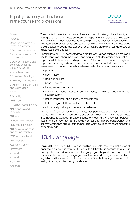

### <span id="page-37-0"></span>**[Context](#page-4-0)**

### [Purpose](#page-4-0)

[Using the research and](#page-4-0)  [literature overviews](#page-4-0)

[1](#page-5-0) Focus of the resource

[2](#page-6-0) Aims and relevance of the resource

3 [Definition of terms and](#page-9-0)  [concepts under the](#page-9-0)  [Equality Act 2010](#page-9-0)

4 [Search strategy](#page-10-0)

[5](#page-12-0) Overview of findings

6 [Diversity and inclusion](#page-13-0)

7 [Discrimination, prejudice](#page-14-0)  [and victimisation](#page-14-0)

8 [Age](#page-15-0)

9 [Disability](#page-16-0)

10 [Gender](#page-40-0)

11 [Gender reassignment](#page-41-0)

[12](#page-42-0) Pregnancy and maternity

13 [Race](#page-13-0)

14 [Religion and belief](#page-14-0)

15 [Sexual orientation](#page-15-0)

16 [Same sex marriage](#page-16-0)  [and civil partnership](#page-16-0)

**17** [Dual characteristics](#page-40-0)

[18](#page-41-0) Conclusion

About the Autho[r](#page-43-0)

**[References](#page-52-0)** 

- Appendix 1
- Appendix 2
- Appendix 3

Appendix 4

They wanted to see if among Asian Americans, acculturation, cultural identity and 'losing face' had any effects on these four aspects of self-disclosure. The study suggests that gender match between participants and counsellors facilitated selfdisclosure about sexual issues and ethnic match had no effect on the various types of self-disclosure. Losing face was seen as a negative predictor of self-disclosure of all aspects of self-disclosure.

Uebelacker et al. (2012) conducted focus groups with Latinos enrolled in a Medicaid health plan to ask about barriers to, and facilitators of, depression treatment and depression telephone care. Participants were 30 Latinos who reported having been depressed or having had close friends or family members with depression, stress, nervousness, or worries. Thematic analysis revealed that specific barriers are:

- poverty
- discrimination
- language barriers
- being uninsured
- having low socioeconomic
- or having to choose between spending money for living expenses or mental health provision
- lack of linguistically and culturally appropriate care
- lack of bilingual staff, counsellors and therapists
- stigma, and proximity and transportation issues.

Knight (2013) reports that in South Africa, race permeates every facet of life and practice even when it is unconscious and unacknowledged. This article suggests that therapeutic work can provide a space of meaningful engagement between races, and therapy may be the racial contact that triggers transference and countertransference of racial pain and struggle, which could be the space for healing of racial wounds.

# **13.4** *Language*

Espin (2013) reflects on bilingual and multilingual clients, asserting that choice of language is an issue in therapy. It is considered that this is because language is closely linked with identity, choice of language goes beyond choosing a tool of communication in therapy. Language the author concludes may aid emotional selfregulation and be linked with cultural expression. Specific languages have words for feelings that may not be directly translatable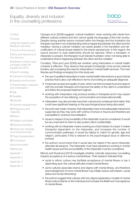

### **[Context](#page-4-0)**

### [Purpose](#page-4-0)

[Using the research and](#page-4-0)  [literature overviews](#page-4-0)

[1](#page-5-0) Focus of the resource

[2](#page-6-0) Aims and relevance of the resource

3 [Definition of terms and](#page-9-0)  [concepts under the](#page-9-0)  [Equality Act 2010](#page-9-0)

4 [Search strategy](#page-10-0)

- [5](#page-12-0) Overview of findings
- 6 [Diversity and inclusion](#page-13-0)

7 [Discrimination, prejudice](#page-14-0)  [and victimisation](#page-14-0)

8 [Age](#page-15-0)

9 [Disability](#page-16-0)

10 [Gender](#page-40-0)

11 [Gender reassignment](#page-41-0)

[12](#page-42-0) Pregnancy and maternity

13 [Race](#page-13-0)

14 [Religion and belief](#page-14-0)

15 [Sexual orientation](#page-15-0)

16 [Same sex marriage](#page-16-0)  [and civil partnership](#page-16-0)

**17** [Dual characteristics](#page-40-0)

[18](#page-41-0) Conclusion

About the Autho[r](#page-43-0)

- **[References](#page-52-0)**
- Appendix 1
- Appendix 2
- Appendix 3
- Appendix 4

Caroppo et al. (2009) suggests 'cultural mediation' when working with clients from different cultural contexts and who cannot speak the language of the host country. Despite having another person involved within the therapy and the frustration the therapist may feel in not understanding what is happening between the client and the mediator, having a cultural mediator can assist greatly in the translation and decodification of cultural issues related to the stress experienced. In this regard, the typical aversion to dual relationship should be rejected. When a translator or interpreter is present, the therapist must tolerate frustration when not being able to understand what is happening between the client and the mediator.

Corollarly, Tribe and Lane (2009) ask whether using interpreters in mental health contexts is effective. They observe that people increasingly move across national borders, also increasing the need for interpreters in mental health services. The main themes and findings emerging from this study are:

- the use of qualified interpreters in early mental health interventions is good clinical practice that is also cost-effective in terms of providing an adequate diagnosis
- it improves access and quality of care, which can then increase trust and rapport with the provider therapist and improves the ability of the client to understand and follow the proposed treatment regimen
- working with interpreters may produce anxiety in therapists and it may require the acquisition of new listening, communication and observational skills
- interpreters may also provide important cultural and contextual information that could have significant bearing on the psychological issue being discussed
- the point was made, however, that interpreters have to be adequately trained and supported as they may work with victims of torture or trauma and therefore are susceptible to vicarious traumatisation
- issues in respect of accountability of the interpreter must be considered. It would be very important for them to also protect client confidentiality
- working with an interpreter means working as a triad instead of a dyad. It makes therapists dependent on the interpreter, and increases the number of communication pathways. It would be helpful to match for gender, age and religion, particularly if this is relevant to the psychological issue or dilemma involved
- the authors recommend that it would also be helpful if the same interpreter attended all sessions. The interpreter must have experience working in mental health issues and the accountability of the interpreter must be considered.

Mizock and Russinova (2013) investigate whether culturally responsive counselling impacts acceptance of a serious mental illness. Their research indicated that:

- racial or ethnic culture may facilitate acceptance of mental illness or bar it depending upon the cultural attitudes toward mental illness
- some cultures associate shame and stigma with mental illness, and therefore acknowledgment of one's mental illness may initially reduce self-esteem, social status and social networking
- the authors suggest that cultures with low-stigma explanatory models of mental illness reduce blame on the individual and increase the likelihood of acceptance of mental illness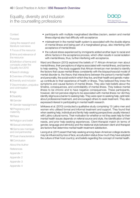

**[Context](#page-4-0)** 

[Purpose](#page-4-0)

[Using the research and](#page-4-0)  [literature overviews](#page-4-0)

[1](#page-5-0) Focus of the resource

[2](#page-6-0) Aims and relevance of the resource

3 [Definition of terms and](#page-9-0)  [concepts under the](#page-9-0)  [Equality Act 2010](#page-9-0)

4 [Search strategy](#page-10-0)

[5](#page-12-0) Overview of findings

6 [Diversity and inclusion](#page-13-0)

7 [Discrimination, prejudice](#page-14-0)  [and victimisation](#page-14-0)

8 [Age](#page-15-0)

9 [Disability](#page-16-0)

10 [Gender](#page-40-0)

11 [Gender reassignment](#page-41-0)

[12](#page-42-0) Pregnancy and maternity

13 [Race](#page-13-0)

14 [Religion and belief](#page-14-0)

15 [Sexual orientation](#page-15-0)

16 [Same sex marriage](#page-16-0)  [and civil partnership](#page-16-0)

**17** [Dual characteristics](#page-40-0)

[18](#page-41-0) Conclusion

About the Autho[r](#page-43-0)

**[References](#page-52-0)** 

Appendix 1

Appendix 2

Appendix 3

Appendix 4

- participants with multiple marginalised identities (racism, sexism and mental illness stigma) also had difficulty with acceptance
- mistreatment in the mental health system is associated with the double stigma of mental illness and being part of a marginalised group, also interfering with acceptance of mental illness
- the cultural stress experienced by immigrants added another layer to racial and ethnic factors in the acceptance process, which often results in social isolation with mental illness, thus, further interfering with acceptance.

Ward and Besson (2013) explored the beliefs of 17 African-American men about mental illness, their perceptions of stigma associated with mental illness, and barriers to help-seeking. The study suggests that African-American men tended to identify the factors that cause mental illness consistently with the biopsychosocial model of mental disorder ie. the theory that interactions between the person's mental health and personality, the social world in which they live, and their health and genetic makeup contribute to their experience of health or illness. They believed they knew the symptoms and causal factors of mental illness. They also held beliefs about the timeline, consequences, and controllability of mental illness. They believe mental illness to be chronic and to have negative consequences. These participants, however, did not perceive stigma to be associated with mental illness nor did they identify stigma as a barrier to seeking help. They were open to seeking help, optimistic about professional treatment, and encouraged others to seek treatment. They also expressed interest in participating in mental health research.

Ishikawa et al. (2010) conducted a qualitative study comprising 13 Latino men and women who utilised formal and informal treatment and support. They found that when seeking help, individual and family help-seeking perspectives usually intersect with Latino cultural norms. Their motivation for whether or not they seek help for their mental health issues depends on referral source and style, the identification of their needs, and prior help-seeking experiences. Client-therapist match (in terms of gender, language and ethnicity) and the relational style between client and therapist are factors that determine mental health treatment satisfaction.

Leong et al. (2011) assert that help-seeking among Asian-American college students may be influenced by loss of face, acculturation status (how much they have adopted the culture of their host country), and beliefs regarding the concept of mental health.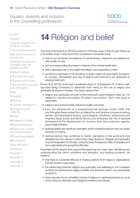

<span id="page-40-0"></span>**[Context](#page-4-0)** 

[Purpose](#page-4-0)

[Using the research and](#page-4-0)  [literature overviews](#page-4-0)

[1](#page-5-0) Focus of the resource

[2](#page-6-0) Aims and relevance of the resource

3 [Definition of terms and](#page-9-0)  [concepts under the](#page-9-0)  [Equality Act 2010](#page-9-0)

4 [Search strategy](#page-10-0)

- [5](#page-12-0) Overview of findings
- 6 [Diversity and inclusion](#page-13-0)
- 7 [Discrimination, prejudice](#page-14-0)  [and victimisation](#page-14-0)

8 [Age](#page-15-0)

- 9 [Disability](#page-16-0)
- 10 Gender
- 11 [Gender reassignment](#page-41-0)

[12](#page-42-0) Pregnancy and maternity

- 13 [Race](#page-13-0)
- 14 [Religion and belief](#page-14-0)
- 15 [Sexual orientation](#page-15-0)

16 [Same sex marriage](#page-16-0)  [and civil partnership](#page-16-0)

**17** Dual characteristics

[18](#page-41-0) Conclusion

About the Autho[r](#page-43-0)

- **[References](#page-52-0)**
- Appendix 1
- Appendix 2
- Appendix 3
- Appendix 4

# **14** Religion and belief

The work of Schnall et al. (2014) focused on Orthodox Jews in this 25-year follow-up of an earlier study. It was found that compared to the earlier study:

- there is an increased acceptance of mental illness, treatment and satisfaction with quality of care
- and a corresponding decrease in mistrust of the mental health field
- with a decrease also in the belief that religion and psychiatry conflict
- as well as a decrease in the tendency to attach stigma to psychiatric problems. In contrast, affordability and fear of stigma still continue to be obstacles to seeking treatment.

Brown et al. (2013) conducted a qualitative study of 15 therapists (14 of whom selfreported being Christians) to determine their views on the role of religion and spirituality as issues in therapy. This study asserts that:

- religion and spirituality are part of the individual's psychological make-up: it is related to cognitive processes, the affect and emotion, and in the study of personality
- religious and spiritual beliefs influence health outcomes
- from the perspective of a biopsychosocial-spiritual model holds that psychological illness arises from an interactive and dynamic process involving: genetic and biomedical factors; psychological, emotional, behavioural and cognitive facts; social and family factors and embraces the role of spiritual dimensions in the development of, recovery from and protection against, psychological illness
- spiritual beliefs are significant strengths and/or protective factors that can assist recovery or coping
- spiritual factors may contribute to clients' perception of the world and may predetermine the manner in which they make decisions. Religion and spirituality may be integrated into therapy using the basic therapeutic skills of empathy and non-judgmental and accepting attitudes.

Rosenfeld (2010) asserts that a psychotherapist has two main roles: identifying and understanding the client's problems and strengths, and treating problems. He explains:

- that there is a potential difficulty in treating patients from religious organisations that are hostile to psychiatry
- the relationship between religion and spirituality and wellbeing is not consistent as there are spiritual and religious beliefs and practices which may exacerbate symptoms
- there may also be an unhealthy misuse of religious or spiritual practices so as to avoid having to deal with psychological problems and issues.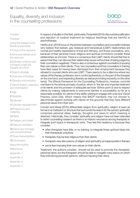

### <span id="page-41-0"></span>**[Context](#page-4-0)**

#### [Purpose](#page-4-0)

[Using the research and](#page-4-0)  [literature overviews](#page-4-0)

[1](#page-5-0) Focus of the resource

[2](#page-6-0) Aims and relevance of the resource

3 [Definition of terms and](#page-9-0)  [concepts under the](#page-9-0)  [Equality Act 2010](#page-9-0)

4 [Search strategy](#page-10-0)

[5](#page-12-0) Overview of findings

6 [Diversity and inclusion](#page-13-0)

7 [Discrimination, prejudice](#page-14-0)  [and victimisation](#page-14-0)

8 [Age](#page-15-0)

9 [Disability](#page-16-0)

10 [Gender](#page-40-0)

11 Gender reassignment

[12](#page-42-0) Pregnancy and maternity

13 [Race](#page-13-0)

14 [Religion and belief](#page-14-0)

15 [Sexual orientation](#page-15-0)

16 [Same sex marriage](#page-16-0)  [and civil partnership](#page-16-0)

**17** [Dual characteristics](#page-40-0)

18 Conclusion

About the Autho[r](#page-43-0)

**[References](#page-52-0)** 

Appendix 1

Appendix 2

Appendix 3

Appendix 4

In respect of studies in this field, particularly, Rosenfeld (2010) cites suicide justification and rejection of medical treatment as religious teachings that are harmful to psychotherapy.

Herlihy et al. (2014) focus on the tension between counsellors and counsellor-trainees who believe that lesbian, gay, bisexual and transsexual (LGBT) relationships are normal and healthy expressions of love and intimacy; and those counsellors, who, because of their personal moral, religious and spiritual convictions consider these relationships as immoral. There is a consensus that LGBT clients should feel free to expect that they can discuss their relationship issues without fear of being judged by their counsellors negatively. There is also a consensus against counsellors imposing their own values on their clients. Thus, two counsellors and two counsellors in training have filed cases for having been dismissed from their employment because they refused to counsel clients who are LGBT. There seems to be a dilemma where two values of the therapy profession are in confict (authenticity on the part of the therapist on the one hand, and respecting diversity as well as promoting inclusivity on the other hand). The *Ethical Framework for the Counselling Professions*, however, commits members to the ethical principle of justice, which is 'the fair and impartial treatment of all clients and the provision of adequate services' (Ethics point 5) and to respect clients by making 'adjustments to overcome barriers to accessibility, so far as is reasonably possible, for clients of any ability wishing to engage with a service' (Good Practice, point 22e). Which means that BACP members may not choose to discriminate against working with clients on the grounds that they have different personal values from their own.

Cornish and Wade (2010) differentiate religion from spirituality: religion is seen as formal or an institution or structure that surrounds the search for the sacred; spirituality comprises personal ideas, feelings, thoughts and views to which meaning is attached. Historically, they consider, spirituality and religion have not been attended to within counselling research as there is an historic reluctance among therapists to integrate such topics in therapeutic work. They feel this hesitancy is because they consider:

- often therapists have little, or no training, to integrate these spiritual ideas into their therapeutic practices
- therapists may be less religious than their clients
- therapists view discussions of religion and spirituality as inappropriate in therapy
- some fear imposing their own values on their clients.

Treatment, the authors consider, should not be used to promote the therapists' personal views, but the therapists' should be able to navigate many topics on which they hold strong personal opinions, without imposing their views.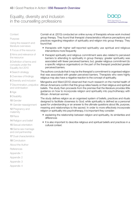

<span id="page-42-0"></span>**[Context](#page-4-0)** 

[Purpose](#page-4-0)

[Using the research and](#page-4-0)  [literature overviews](#page-4-0)

[1](#page-5-0) Focus of the resource

[2](#page-6-0) Aims and relevance of the resource

3 [Definition of terms and](#page-9-0)  [concepts under the](#page-9-0)  [Equality Act 2010](#page-9-0)

4 [Search strategy](#page-10-0)

[5](#page-12-0) Overview of findings

6 [Diversity and inclusion](#page-13-0)

7 [Discrimination, prejudice](#page-14-0)  [and victimisation](#page-14-0)

8 [Age](#page-15-0)

9 [Disability](#page-16-0)

10 [Gender](#page-40-0)

11 [Gender reassignment](#page-41-0)

12 Pregnancy and maternity

13 [Race](#page-13-0)

14 [Religion and belief](#page-14-0)

15 [Sexual orientation](#page-15-0)

16 [Same sex marriage](#page-16-0)  [and civil partnership](#page-16-0)

**17** [Dual characteristics](#page-40-0)

[18](#page-41-0) Conclusion

About the Autho[r](#page-43-0)

**[References](#page-52-0)** 

Appendix 1

Appendix 2

Appendix 3

Appendix 4

Cornish et al. (2013) conducted an online survey of therapists whose work involved group therapy. They found that therapist characteristics influence perceptions and practices regarding integration of spirituality and religion into group therapy. They found that:

- therapists with higher self-reported spirituality use spiritual and religious interventions more frequently
- therapist spirituality and religious commitment were also related to perceived barriers to attending to spirituality in group therapy: greater spirituality was associated with fewer perceived barriers; but, greater religious commitment (to a specific religious organisation) on the part of the therapist predicted greater perceived barriers.

The authors conclude that it may be the therapist's commitment to organised religion that was associated with greater perceived barriers. Therapists who were highly religious may also have a negative reaction to the concept of spirituality.

Mengesha and Ward (2012) observed that much research on the mental health of African Americans confirm that this group relies heavily on their religious and spiritual beliefs. The study then proceeds from the premise that the literature provides little guidance on how to incorporate religion and spirituality into psychotherapy with African- American women.

The study defines religion as an organised system of beliefs, practices and rituals designed to facilitate closeness to God; while spirituality is defined as a personal quest for understanding or an answer to the ultimate questions about life, purpose, meaning and relationships to the sacred. In order to more effectively incorporate religion or spirituality into psychotherapy, it is important they consider:

- explaining the relationship between religion and spirituality, its similarities and differences
- It is also important to describe religious and spiritual beliefs and practices in a cultural context.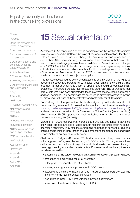

<span id="page-43-0"></span>**[Context](#page-4-0)** 

[Purpose](#page-4-0)

[Using the research and](#page-4-0)  [literature overviews](#page-4-0)

[1](#page-5-0) Focus of the resource

[2](#page-6-0) Aims and relevance of the resource

3 [Definition of terms and](#page-9-0)  [concepts under the](#page-9-0)  [Equality Act 2010](#page-9-0)

4 [Search strategy](#page-10-0)

[5](#page-12-0) Overview of findings

6 [Diversity and inclusion](#page-13-0)

7 [Discrimination, prejudice](#page-14-0)  [and victimisation](#page-14-0)

8 [Age](#page-15-0)

9 [Disability](#page-16-0)

10 [Gender](#page-40-0)

11 [Gender reassignment](#page-41-0)

[12](#page-42-0) Pregnancy and maternity

13 [Race](#page-13-0)

14 [Religion and belief](#page-14-0)

15 [Sexual orientation](#page-15-0)

16 [Same sex marriage](#page-16-0)  [and civil partnership](#page-16-0)

**17** [Dual characteristics](#page-40-0)

[18](#page-41-0) Conclusion

About the Author

**[References](#page-52-0)** 

Appendix 1

Appendix 2

Appendix 3

Appendix 4

# **15** Sexual orientation

Appelbaum (2014) conducted a study and commentary on the reaction of therapists to a new law passed in California banning all therapeutic interventions for clients below 18 years old who seek to change the sexual orientation of children. In September 2012, Governor Jerry Brown signed a bill mandating that no mental health provider shall engage in any intervention defined as "sexual orientation change effort" (SOCE), which includes efforts to change behaviours or gender expressions or to eliminate or reduce sexual or romantic attractions or feelings toward individuals of the same sex. Any intervention under SOCE is considered unprofessional and unethical conduct that will be subject to discipline.

This law was questioned as being unconstitutional and in violation of the rights to freedom of speech and parental rights to select treatments for their children. The argument is that counselling is a form of speech and should be constitutionally protected. The Court of Appeal has rejected this argument. The court states that child clients who have been subjected to these interventions may bring legal action and seek damages. This, according to the court, would provide less intrusive means for discouraging the use of these ineffective and potentially harmful therapies.

BACP along with other professional bodies has signed up to the Memorandum of Understanding in respect of conversion therapy (for more information see [http://](http://www.psychotherapy.org.uk/UKCP_Documents/policy/MoU-conversiontherapy.pdf) [www.psychotherapy.org.uk/UKCP\\_Documents/policy/MoU-conversiontherapy.pdf](http://www.psychotherapy.org.uk/UKCP_Documents/policy/MoU-conversiontherapy.pdf)) and members are committed to the *Statement of Ethical Practice* (see appendix 4) which includes: 'BACP opposes any psychological treatment such as 'reparative' or 'conversion' therapy (BACP, 2013).

Moradi et al. (2009) observe that therapists are uniquely positioned to advance knowledge, practice and social justice through research on issues affecting sexual orientation minorities. They note the overarching challenge of conceptualising and defining sexual minority populations and also emphasise the significance and value of scholarship about sexual minority issues.

Shelton and Delgado-Romero (2011) discuss what they describe as 'microaggressions' against the sexuality of LGBQ clients. Microagressions they define as communications of prejudice and discrimination expressed through seemingly meaningless and unharmful tactics. For example within therapy they are usually expressed by:

- assuming that the person's sexual orientation is the cause of all presenting issues
- avoidance and minimising of sexual orientation
- attempts to over-identify with LGBQ clients
- making stereotypical assumptions about LGBQ clients
- expressions of heteronormative bias (bias in favour of heterosexual orientation as the only "normal" type of sexual orientation)
- assumptions that LGBQ individuals need therapeutic treatment
- warnings of the dangers of identifying as LGBQ.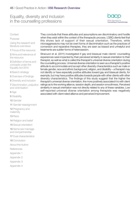

### **[Context](#page-4-0)**

### [Purpose](#page-4-0)

[Using the research and](#page-4-0)  [literature overviews](#page-4-0)

[1](#page-5-0) Focus of the resource

[2](#page-6-0) Aims and relevance of the resource

3 [Definition of terms and](#page-9-0)  [concepts under the](#page-9-0)  [Equality Act 2010](#page-9-0)

4 [Search strategy](#page-10-0)

[5](#page-12-0) Overview of findings

6 [Diversity and inclusion](#page-13-0)

7 [Discrimination, prejudice](#page-14-0)  [and victimisation](#page-14-0)

8 [Age](#page-15-0)

9 [Disability](#page-16-0)

10 [Gender](#page-40-0)

11 [Gender reassignment](#page-41-0)

[12](#page-42-0) Pregnancy and maternity

13 [Race](#page-13-0)

14 [Religion and belief](#page-14-0)

15 [Sexual orientation](#page-15-0)

16 [Same sex marriage](#page-16-0)  [and civil partnership](#page-16-0)

**17** [Dual characteristics](#page-40-0)

[18](#page-41-0) Conclusion

About the Autho[r](#page-43-0)

[References](#page-52-0)

Appendix 1

Appendix 2

Appendix 3

Appendix 4

They conclude that these attitudes and assumptions are discriminatory and hostile when they exist within the context of the therapeutic process. LGBQ clients feel that this shows lack of support of their sexual orientation. Therefore, while microaggressions may not be overt forms of discrimination such as the practices of conversion and reparative therapies, they are seen as biased and unhelpful and treatments are subtler forms of heterosexism.

Stracuzzi et al. (2011) investigated if gay and bisexual male clients' counselling experiences were impacted by their perceived similarity in sexual orientation to their therapist, as well as what is called the therapist's universal diverse orientation during the counselling process. Universal diverse orientation is seen as a therapist's positive attitude to accommodate and accept other diversity characteristics such as male or female gender, race and ethnic background, religion, and disability – a therapist may not identify or have especially positive attitudes toward gay and bisexual clients, for example, but may have positive attitudes towards people with other clients with other diversity characteristics. The findings of this study suggest that the higher the therapist's universal diverse orientation, the more positively associated it is with client ratings as to the working alliance, session depth, and session smoothness. Perceived similarity in sexual orientation was not directly related to any of these variables. Low self-reported universal diverse orientation among therapists was negatively associated with client-rated alliance and perceived improvement.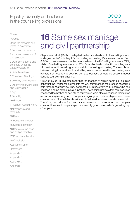

<span id="page-45-0"></span>**[Context](#page-4-0)** 

[Purpose](#page-4-0)

[Using the research and](#page-4-0)  [literature overviews](#page-4-0)

[1](#page-5-0) Focus of the resource

[2](#page-6-0) Aims and relevance of the resource

3 [Definition of terms and](#page-9-0)  [concepts under the](#page-9-0)  [Equality Act 2010](#page-9-0)

4 [Search strategy](#page-10-0)

[5](#page-12-0) Overview of findings

6 [Diversity and inclusion](#page-13-0)

7 [Discrimination, prejudice](#page-14-0)  [and victimisation](#page-14-0)

8 [Age](#page-15-0)

9 [Disability](#page-16-0)

10 [Gender](#page-40-0)

11 [Gender reassignment](#page-41-0)

[12](#page-42-0) Pregnancy and maternity

13 [Race](#page-13-0)

14 [Religion and belief](#page-14-0)

15 [Sexual orientation](#page-15-0)

16 [Same sex marriage](#page-16-0)  [and civil partnership](#page-16-0)

**17** [Dual characteristics](#page-40-0)

[18](#page-41-0) Conclusion

About the Autho[r](#page-43-0)

**[References](#page-52-0)** 

Appendix 1

Appendix 2

Appendix 3

Appendix 4

# **16** Same sex marriage and civil partnership

Stephenson et al. (2014) investigated male-male dyads as to their willingness to undergo couples' voluntary HIV counselling and testing. Data were collected from 3,245 couples in seven countries. In Australia and the UK, willingness was at 79%, while in Brazil willingness was up to 90%. Older dyads who did not know if they were HIV positive had lower willingness to use HIV counselling and testing. The association between being in a relationship and willingness to use counselling and testing were variable from country to country, perhaps because of local perceptions about couples counselling and testing.

Grove et al. (2013) hypothesised that the manner by which same-sex couples construct their relationships impacts the way they manage the process of seeking help for their relationships. They conducted 12 interviews with 16 people who had engaged in same-sex couples counselling. Their findings indicate that some couples positioned themselves as part of a minority group while others positioned themselves as part of a generic group of couples struggling with relationship issues. These constructions of their relationships impact how they discuss and decide to seek help. Therefore, the call was for therapists to be aware of the ways in which couples construct their relationships (as part of a minority group or as part of a generic group of couples).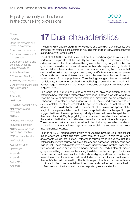

<span id="page-46-0"></span>**[Context](#page-4-0)** 

[Purpose](#page-4-0)

[Using the research and](#page-4-0)  [literature overviews](#page-4-0)

[1](#page-5-0) Focus of the resource

[2](#page-6-0) Aims and relevance of the resource

3 [Definition of terms and](#page-9-0)  [concepts under the](#page-9-0)  [Equality Act 2010](#page-9-0)

4 [Search strategy](#page-10-0)

[5](#page-12-0) Overview of findings

6 [Diversity and inclusion](#page-13-0)

7 [Discrimination, prejudice](#page-14-0)  [and victimisation](#page-14-0)

8 [Age](#page-15-0)

9 [Disability](#page-16-0)

10 [Gender](#page-40-0)

11 [Gender reassignment](#page-41-0)

[12](#page-42-0) Pregnancy and maternity

13 [Race](#page-13-0)

14 [Religion and belief](#page-14-0)

15 [Sexual orientation](#page-15-0)

16 [Same sex marriage](#page-16-0)  [and civil partnership](#page-16-0)

**17** [Dual characteristics](#page-40-0)

[18](#page-41-0) Conclusion

About the Autho[r](#page-43-0)

**[References](#page-52-0)** 

Appendix 1

Appendix 2

Appendix 3

Appendix 4

# **17** Dual characteristics

The following synopsis of studies involves clients and participants who possess two or more of the protected characteristics including or in addition to low socioeconomic status, poverty or low education.

Lovell et al. (2014) recruited 57 clients from four disadvantaged localities in the northwest of England to test the feasibility and acceptability to ethnic minorities and older people of a culturally sensitive wellbeing intervention. They sought to probe why groups such as older people and ethnic minorities, who experience high levels of mental distress, face barriers in terms of access to care. They hypothesise that despite evidence that psychological therapy may be effective for reducing symptoms of mental distress, current interventions may not be sensitive to the specific mental health needs of these populations. Their findings suggest that in the elderly participants, those who received the wellbeing intervention improved. It is acknowledged, however, that the number of recruited participants is only half of the target sampling.

Schuengel et al. (2009) conducted a controlled multiple-case design study to determine how therapeutic relationships developed in six children with what they describe as visual disabilities, severe intellectual disabilities, severe challenging behaviour, and prolonged social deprivation. The group had sessions with an experimental therapist who simulated therapeutic attachment. A control therapist alternated and provided only positive personal attention. In a second phase of the trial, both the experimental and control therapist applied behaviour therapy. Findings suggest that the children sought more proximity to the experimental therapist than to the control therapist. Psychophysiological arousal was lower when the experimental therapist applied behaviour modification than when the control therapist applied it. They concluded that attachment behaviour in the children appeared responsive to stimulation and the attachment regulation may explain the success of behaviour modification approaches.

Scott et al. (2009) probed satisfaction with counselling in young Black adolescent males who were transitioning from 'foster care' to 'custody' (within the US often adolescents will go into 'custody' rather than 'prison which is a very structured detention facility with counselling, group therapy and classes so that they can finish high school). These participants were in custody, undergoing counselling, diagnosed with major depression or disruptive behaviour disorder, and had a history of being in group care settings. The researchers sought to determine the participants' attitudes toward mental health services, their beliefs about stigma, and their perspectives on masculine norms. It was found that the attitudes of the participants contributed to their satisfaction with counselling. That is, those participants who expressed more positive attitudes toward mental health services, and confidence in mental health professionals and the therapeutic process reported greater satisfaction.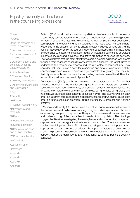

### **[Context](#page-4-0)**

### [Purpose](#page-4-0)

[Using the research and](#page-4-0)  [literature overviews](#page-4-0)

[1](#page-5-0) Focus of the resource

[2](#page-6-0) Aims and relevance of the resource

3 [Definition of terms and](#page-9-0)  [concepts under the](#page-9-0)  [Equality Act 2010](#page-9-0)

4 [Search strategy](#page-10-0)

[5](#page-12-0) Overview of findings

6 [Diversity and inclusion](#page-13-0)

7 [Discrimination, prejudice](#page-14-0)  [and victimisation](#page-14-0)

8 [Age](#page-15-0)

9 [Disability](#page-16-0)

10 [Gender](#page-40-0)

11 [Gender reassignment](#page-41-0)

[12](#page-42-0) Pregnancy and maternity

13 [Race](#page-13-0)

14 [Religion and belief](#page-14-0)

15 [Sexual orientation](#page-15-0)

16 [Same sex marriage](#page-16-0)  [and civil partnership](#page-16-0)

**17** [Dual characteristics](#page-40-0)

[18](#page-41-0) Conclusion

About the Autho[r](#page-43-0)

**[References](#page-52-0)** 

Appendix 1

Appendix 2

Appendix 3

Appendix 4

Pattison (2010) conducted a survey and qualitative interviews of school counsellors in secondary schools across the UK to build a model for inclusive counselling practice for young people with learning disabilities. A total of 369 school counsellors participated in the survey and 15 participated in the interviews. The counsellors' responses to the question of how to ensure greater inclusivity centred around the need to: raise awareness of the counselling service; specialist training and knowledge or experience with learning disabilities; having an integrated partnership approach; expert supervision; and, advocacy and active promotion of counselling services. They also believed that the most effective factor is in developing rapport with clients to enable them to access counselling services; there is a need for the target clients to understand the therapeutic process and the guarantee of confidentiality. They consider that there is also a need for imaginative and creative presentation of the counselling process to make it accessible (for example, through art). There must be flexibility and eclecticism to ensure that counselling can be accessed by all. Their final model of inclusivity can be seen in Appendix 3.

De Haan et al. (2015) sought to determine the characteristics and factors that influence counselling drop-out risk among youth, exploring factors such as ethnic background, socioeconomic status, and problem severity. For adolescents, the following risk factors were determined: ethnicity, being female, being older, and having lower parental socioeconomic occupation levels. The study shows a higher drop-out rate from some specific ethnic backgrounds among which there are higher drop-out rates, such as children from Turkish, Moroccan, Surinamese and Antillean ethnicity.

O'Mahony and Donelly (2010) conducted a literature review to examine the factors that impact help-seeking behaviour among immigrant and refugee women who were experiencing post-partum depression. The goal of the review was to raise awareness and understanding of the mental health needs of this population. Their findings suggest that literature investigating the needs, issues and risk factors for post-partum depression among immigrant and refugee women is limited. There are numerous studies describing the culture of immigrant and refugee women with post-partum depression but there are few that address the impact of factors that determine or predict help-seeking. In particular, there are few studies that examine how social support, gender, organisational and institutional structures bar help-seeking behaviour.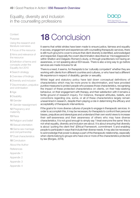

<span id="page-48-0"></span>**[Context](#page-4-0)** 

[Purpose](#page-4-0)

[Using the research and](#page-4-0)  [literature overviews](#page-4-0)

[1](#page-5-0) Focus of the resource

[2](#page-6-0) Aims and relevance of the resource

3 [Definition of terms and](#page-9-0)  [concepts under the](#page-9-0)  [Equality Act 2010](#page-9-0)

4 [Search strategy](#page-10-0)

[5](#page-12-0) Overview of findings

6 [Diversity and inclusion](#page-13-0)

7 [Discrimination, prejudice](#page-14-0)  [and victimisation](#page-14-0)

8 [Age](#page-15-0)

9 [Disability](#page-16-0)

10 [Gender](#page-40-0)

11 [Gender reassignment](#page-41-0)

[12](#page-42-0) Pregnancy and maternity

13 [Race](#page-13-0)

14 [Religion and belief](#page-14-0)

15 [Sexual orientation](#page-15-0)

16 [Same sex marriage](#page-16-0)  [and civil partnership](#page-16-0)

**17** [Dual characteristics](#page-40-0)

[18](#page-41-0) Conclusion

About the Autho[r](#page-43-0)

**[References](#page-52-0)** 

Appendix 1

Appendix 2

Appendix 3

Appendix 4

# **18** Conclusion

It seems that whilst strides have been made to ensure justice, fairness and equality in access, engagement and experiences with counselling therapeutic services, there is still much ground to cover to ensure that client diversity is identified, acknowledged and respected. Especially the covert discrimination described as 'microaggressions' within Shelton and Delgado-Romero's study, or through practitioners not having an awareness, or not speaking about EDI issues. There is also a long way to go before services are made inclusive for all.

There is a need, it seems, for therapists to be 'culturally competent' whether they are working with clients from different countries and cultures, or who have had a different life experience in respect of disability, gender or sexuality.

Whilst legal and statutory policy have laid down conceptual definitions of characteristics which may be more prone to discrimination, and have provided punitive measures to protect people who possess those characteristics, recognising the impact of these protected characteristics on clients, on their help-seeking behaviour, on their engagement with therapy, and their satisfaction with it remains a fertile ground of research inquiry. For instance, therapist attitudes, beliefs, and convictions regarding one, some, or all of these characteristics largely remain unexamined in research, despite them playing a role in determining the efficacy and acceptability of therapeutic interventions.

If the goal is for more diverse cultures of people to engage in therapeutic services. In order to accomplish this, it may be necessary for therapists to confront their personal biases, prejudices and stereotypes and understand their own world views to increase their self-awareness and their awareness of others who may have diverse characteristics. It is not good enough to simply say 'I treat everyone the same' this is not what equality, diversity and inclusion are about. It is about ensuring that diversity is about 'putting the client first' (*Ethical Framework*, commitment 1) and enabling people to participate in ways that include their diverse needs. It may also be necessary to acknowledge that power is always a part of the therapeutic relationship, especially when clients belong to groups who have one or more of the characteristics protected by law (Borges, 2014).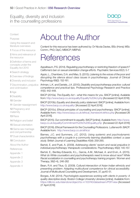

<span id="page-49-0"></span>**[Context](#page-4-0)** 

[Purpose](#page-4-0)

[Using the research and](#page-4-0)  [literature overviews](#page-4-0)

[1](#page-5-0) Focus of the resource

[2](#page-6-0) Aims and relevance of the resource

3 [Definition of terms and](#page-9-0)  [concepts under the](#page-9-0)  [Equality Act 2010](#page-9-0)

4 [Search strategy](#page-10-0)

[5](#page-12-0) Overview of findings

6 [Diversity and inclusion](#page-13-0)

7 [Discrimination, prejudice](#page-14-0)  [and victimisation](#page-14-0)

8 [Age](#page-15-0)

9 [Disability](#page-16-0)

10 [Gender](#page-40-0)

11 [Gender reassignment](#page-41-0)

[12](#page-42-0) Pregnancy and maternity

13 [Race](#page-13-0)

14 [Religion and belief](#page-14-0)

15 [Sexual orientation](#page-15-0)

16 [Same sex marriage](#page-16-0)  [and civil partnership](#page-16-0)

**17** [Dual characteristics](#page-40-0)

[18](#page-41-0) Conclusion

About the Autho[r](#page-43-0)

**[References](#page-52-0)** 

Appendix 1

Appendix 2

Appendix 3

Appendix 4

# About the Author

Content for this resource has been authored by: Dr Nicola Davies, BSc (Hons); MSc Comm.; PhD; DipC; MBACP; MBPsS

# **References**

Appelbaum, P.S. (2014). *Regulating psychotherapy or restricting freedom of speech? California's ban on sexual orientation change efforts.* Psychiatric Services 65(1): 5-7

Appio, L., Chambers, D.A. and Mao, S. (2013). *Listening to the voices of the poor and disrupting the silence about class issues in psychotherapy.* Journal of Clinical Psychology 69(2): 152-161.

Artman, L.K. and Daniels, J.A. (2010). *Disability and psychotherapy practice: cultural competence and practical tips.* Professional Psychology-Research and Practice 41(5): 442-448.

BACP (2010a). *The Equality Act – what this means for you.* BACP [online]. Available from:<http://www.bacp.co.uk/equality/Equality%20Act.php> [Accessed 22 April 2016].

BACP (2010b). *Equality and diversity policy statement.* BACP [online]. Available from: <http://www.bacp.co.uk/equality/> [Accessed 22 April 2016]

BACP (2010c). *Ethical principles of counselling and psychotherapy.* BACP [online]. Available from: [http://www.bacp.co.uk/ethical\\_framework/ethics.php](http://www.bacp.co.uk/ethical_framework/ethics.php) [Accessed 26 April 2016].

BACP (2015). *Our commitment to equality.* BACP [online]. Available from: [http://www.](http://www.bacp.co.uk/equality/Commitment%20to%20Equality.php) [bacp.co.uk/equality/Commitment%](http://www.bacp.co.uk/equality/Commitment%20to%20Equality.php)20to%20Equality.php [Accessed 22 April 2016]

BACP (2016). *Ethical Framework for the Counselling Professions.* Lutterworth: BACP. Available from: [http://www.bacp.co.uk/ethics/](http://www.bacp.co.uk/ethics)

Barnes, J.C. and Summers, J.C. (2012). *Using systemic and psychodynamic psychotherapy with a couple in a community learning disabilities context: a case study.* British Journal of Learning Disabilities 40(4): 259-265.

Bartoli, E. and Pyati, A. (2009). *Addressing clients' racism and racial prejudice in individual psychotherapy: therapeutic considerations.* Psychotherapy 46(2): 145-157.

Bartoli, E., Bentley-Edwards, K.L., Garcia, A.M., Michael, A. and Ervin, A. (2015). *What do White counsellors and psychotherapists need to know about race? White Racial socialization in counselling and psychotherapy training program.* Women and Therapy, 38(3-4),: 246-262

Bean, R.A. and Titus, G. (2009). *Cultural intersection of Asian Indian ethnicity and presenting problem: Adapting multicultural competence for clinical accessibility.*  Journal of Multicultural Counseling and Development, 37, pp40-51.

Borges, A.M. (2014). *Psychologists experiences working with clients in poverty: A quality descriptive study.* Boston College University Libraries [online]. Available from: [https://dlib.bc.edu/islandora/object/bc-](https://dlib.bc.edu/islandora/object/bc)ir:103740/datastream/PDF/view [Accessed 27 April 2016]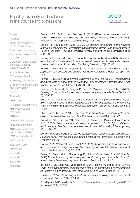

**[Context](#page-4-0)** 

[Purpose](#page-4-0)

[Using the research and](#page-4-0)  [literature overviews](#page-4-0)

[1](#page-5-0) Focus of the resource

[2](#page-6-0) Aims and relevance of the resource

3 [Definition of terms and](#page-9-0)  [concepts under the](#page-9-0)  [Equality Act 2010](#page-9-0)

4 [Search strategy](#page-10-0)

[5](#page-12-0) Overview of findings

6 [Diversity and inclusion](#page-13-0)

7 [Discrimination, prejudice](#page-14-0)  [and victimisation](#page-14-0)

8 [Age](#page-15-0)

9 [Disability](#page-16-0)

10 [Gender](#page-40-0)

11 [Gender reassignment](#page-41-0)

[12](#page-42-0) Pregnancy and maternity

13 [Race](#page-13-0)

14 [Religion and belief](#page-14-0)

15 [Sexual orientation](#page-15-0)

16 [Same sex marriage](#page-16-0)  [and civil partnership](#page-16-0)

**17** [Dual characteristics](#page-40-0)

[18](#page-41-0) Conclusion

About the Autho[r](#page-43-0)

**[References](#page-52-0)** 

Appendix 1

Appendix 2

Appendix 3

Appendix 4

Breckon, S.E., Smith, I. and Daiches, A. (2013). *What makes offenders with an intellectual disability ready to engage with psychological therapy? A qualitative study.*  Research in Developmental Disabilities 34(5): 1408-1416.

Brooks, M., Davis, S. and Twigg, E. (2013). *A measure for feelings - using inclusive research to develop a tool for evaluating psychological therapy* (Clinical Outcomes in Routine Evaluation - Learning Disability). British Journal of Learning Disabilities 41(4): 320-329

Brown, G., Marshall, M., Bower, P., Woodham, A. and Waheed, W. (2014). *Barriers to recruiting ethnic minorities to mental health research: A systematic review.*  International Journal of Methods in Psychiatry Research, 23(1): 36-48.

Brown, O., Elkonin, D. and Naicker, S. (2013). *The use of religion and spirituality in psychotherapy: enablers and barriers.* Journal of Religion and Health 52, pp. 1131- 1146.

Canady, R.B., Bullen, B.L., Holzman, C., Broman, C. and Tian, Y. (2008). *Discrimination and symptoms of depression in pregnancy among African American and White women.* Women's Health Issues 18(4): 292-300.

Caroppo, E., Muscelli, C., Brogna, P., Paci, M., Camerino, C. and Bria, P. (2009). *Relating with migrants: ethnopsychiatry and psychotherapy.* Ann Ist Super Sanita, 45 (3): 331-340.

Chao, R.C.L., Wei, M.M., Good, G.E. and Flores, L.Y. (2011). *Race/Ethnicity, Color-Blind Racial attitudes, and multicultural counseling competence: the moderating effects of multicultural counseling training.* Journal of Counseling Psychology 58(1): 72-82.

Chen, J. and Rizzo, J. (2010). *Racial and ethnic disparities in use of psychotherapy: evidence from us national survey data.* Psychiatric Services 61(4): 364-372.

Comstock, D.L., Hammer, T.R., Strentzsch, J., Cannon, K., Parsons, J. and Salazar II, G. (2008). *Relational-cultural theory: a framework for bridging relational, multicultural, and social justice competencies.* Journal of Counseling & Development, 86, pp279-287.

Cornish, M.A. and Wade, N.G. (2010). *Spirituality and religion in group counseling: a literature review with practice guidelines.* Professional Psychology-Research and Practice 41(5): 398-404.

Cornish, M.A., Wade, N.G. and Knight, M.A. (2013). *Understanding group therapists' use of spiritual and religious interventions in group therapy.* International Journal of Group Psychotherapy 63(4): 573-591.

Costa, R., Dunsford, M., Skagerberg, E., Holt, V., Carmichael, P. and Calizzi, M. (2015). *Psychological support, puberty suppression and psychological functioning in adolescents with gender dysphoria.* Journal of Sex Medicine: 12 (11).

de Haan, A.M., Boon, A.E., Vermeiren, R.R.J.M., Hoewe, M. and de Jong, J.T.V.M. (2015). *Ethnic background, socioeconomic status, and problem severity as dropout risk factors in psychotherapy with youth.* Child & Youth Care Forum 44 (1): 1-16.

Eltaiba, N. (2014). *Counseling with Muslim refugees: building rapport.* Journal of Social Work Practice 28(4): 397-403.

Equality Act 2010. Available from: <http://www.legislation.gov.uk/ukpga/2010/15> [Accessed 25 April 2016]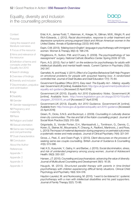

**[Context](#page-4-0)** 

[Purpose](#page-4-0)

[Using the research and](#page-4-0)  [literature overviews](#page-4-0)

[1](#page-5-0) Focus of the resource

[2](#page-6-0) Aims and relevance of the resource

3 [Definition of terms and](#page-9-0)  [concepts under the](#page-9-0)  [Equality Act 2010](#page-9-0)

4 [Search strategy](#page-10-0)

[5](#page-12-0) Overview of findings

6 [Diversity and inclusion](#page-13-0)

7 [Discrimination, prejudice](#page-14-0)  [and victimisation](#page-14-0)

8 [Age](#page-15-0)

9 [Disability](#page-16-0)

10 [Gender](#page-40-0)

11 [Gender reassignment](#page-41-0)

[12](#page-42-0) Pregnancy and maternity

13 [Race](#page-13-0)

14 [Religion and belief](#page-14-0)

15 [Sexual orientation](#page-15-0)

16 [Same sex marriage](#page-16-0)  [and civil partnership](#page-16-0)

**17** [Dual characteristics](#page-40-0)

[18](#page-41-0) Conclusion

About the Autho[r](#page-43-0)

**[References](#page-52-0)** 

Appendix 1

Appendix 2

Appendix 3

Appendix 4

Ertel, K.A., James-Todd, T., Kleinman, K., Krieger, N., Gillman, M.W., Wright, R. and Rich-Edwards, J. (2012). *Racial discrimination, response to unfair treatment and depressive symptoms among pregnant black and African American women in the United States.* Annals of Epidemiology 22(12): 840-846.

Espin, O.M. (2013). *'Making love in English': language in psychotherapy with immigrant women.* Women & Therapy 36(3-4): 198-218.

Fitzgibbons, R., Sutton, P.M. and O'Leary, D. (2009). *The psychopathology of 'sex reassignment' surgery, National Catholic Bioethics Center*. Spring 2009: 97-125.

Flynn, A.G. (2012). *Fact or faith?: on the evidence for psychotherapy for adults with intellectual disability and mental health needs.* Current Opinion in Psychiatry 25(5): 342-347.

Garnefski, N. and Kraaij, V. (2011). *Effect of a Cognitive Behavioral Self-Help Program on emotional problems for people with acquired hearing loss: A randomized controlled trial.* Journal of Deaf Studies and Deaf Education 17(1): 75-84.

Government Equalities Office (2011). *Easy read: The Equality Act – Making equality real.* [Government.UK](http://Government.UK) [online]. Available from: [http://gov.uk/government/publications/](http://gov.uk/government/publications/equality-act-guidance) [equality-](http://gov.uk/government/publications/equality-act-guidance)act-guidance [Accessed 23 April 2016]

[Government.UK](http://Government.UK) (2010). *Equality Act 2010 Explanatory Notes*. [Government.UK](http://Government.UK)  [online]. Available from: [http://www.legislation.gov.uk/ukpga/2010/15/pdfs/](http://www.legislation.gov.uk/ukpga/2010/15/pdfs/ukpgaen_20100015_en.pdf) [ukpgaen\\_20100015\\_en.pdf](http://www.legislation.gov.uk/ukpga/2010/15/pdfs/ukpgaen_20100015_en.pdf) [Accessed 27 April 2016]

[Government.UK](http://Government.UK) (2013). *Equality Act 2010 Guidance. [Government.](http://Government.UK)*UK [online]. Available from: [http://www.gov.uk/guidance/equality](http://www.gov.uk/guidance/equality-act-2010-guidance)-act-2010-guidance [Accessed 23 April 2016]

Green, R., Dicks, S.N.S. and Buckroyd, J. (2009). *Counselling in culturally diverse inner-city communities: The rise and fall of the Kabin counselling project.* Journal of Social Work Practice 23(3): 315-326.

Grigoriadis, S., Vonder Porten, E.H., Mamisashvili, L., Tomlinson, G., Dennis, C., Koren, G., Steiner, M., Mousmanis, P., Cheung, A., Radford., Martinovic, J. and Ross, L. (2013) *The impact of maternal depression during pregnancy on perinatal outcomes: a systematic review and meta-analysis.* Journal of Clinical Psychiatry 74(4): 321-341

Grove, J., Peel., E. and Owen-Pugh, V. (2013). *Client discourses on the process of seeking same-sex couple counselling.* British Journal of Guidance & Counselling 41(5): 573-586.

Hall, K.S., Kusunoki, Y., Gatny, H. and Barber, J. (2015). *Social discrimination, stress, and risk of unintended pregnancy among young women,* Journal of Adolescent Health: 56(3): 330-337.

Hansen, J.T. (2010). *Counseling and psychoanalysis: advancing the value of diversity.*  Journal of Multicultural Counseling and Development 38(1): 16-26.

Haugvik, M. (2013). *Structured parallel therapy with parents in time-limited psychotherapy with children experiencing difficult family situations.* Clinical Child Psychology and Psychiatry 18(4): 504-518.

Haydon-Laurelut, M. and Nunkoosing, M. (2010). '*I want to be listened to': systemic psychotherapy with a man with intellectual disabilities and his paid supporters.*  Journal of Family Therapy 32(1): 73-86.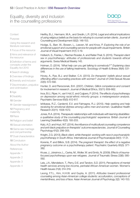

<span id="page-52-0"></span>**[Context](#page-4-0)** 

[Purpose](#page-4-0)

[Using the research and](#page-4-0)  [literature overviews](#page-4-0)

[1](#page-5-0) Focus of the resource

[2](#page-6-0) Aims and relevance of the resource

3 [Definition of terms and](#page-9-0)  [concepts under the](#page-9-0)  [Equality Act 2010](#page-9-0)

4 [Search strategy](#page-10-0)

[5](#page-12-0) Overview of findings

6 [Diversity and inclusion](#page-13-0)

7 [Discrimination, prejudice](#page-14-0)  [and victimisation](#page-14-0)

8 [Age](#page-15-0)

9 [Disability](#page-16-0)

10 [Gender](#page-40-0)

11 [Gender reassignment](#page-41-0)

[12](#page-42-0) Pregnancy and maternity

- 13 [Race](#page-13-0)
- 14 [Religion and belief](#page-14-0)
- 15 [Sexual orientation](#page-15-0)

16 [Same sex marriage](#page-16-0)  [and civil partnership](#page-16-0)

**17** [Dual characteristics](#page-40-0)

[18](#page-41-0) Conclusion

About the Autho[r](#page-43-0)

**References** 

Appendix 1

Appendix 2

Appendix 3

Appendix 4

Herlihy, B.J., Hermann, M.A., and Gredin, L.R. (2014). *Legal and ethical implications of using religious beliefs as the basis for refusing to counsel certain clients.* Journal of Counseling and Development 92(2): 148-153.

Hodge, S., Barr, W., Bowen, L., Leeven, M. and Knox, P. *Exploring the role of an emotional support and counselling service for people with visual impairments.* British Journal of Visual Impairment 31(1): 5-19.

Hollwich, S., Franke, I., Riecher-Rossler, A. and Reiter-Theil, S. (2015). *Therapist-client sex in psychotherapy: attitudes of professionals and students towards ethical arguments.* Swiss Medical Weekly 145.

Holman, D. (2014). *'What help can you get talking to somebody?'" Explaining class differences in the use of talking treatments.* Sociology of Health & Illness 36(4): 531- 548.

Hovey, A., Rye, B.J. and Stalker. C.A. (2013). *Do therapists' beliefs about sexual offending affect counseling practices with women?* Journal of Child Sexual Abuse 22(5): 572-592.

Hunter, D. and Pierscionek, B.K. (2007). *Children, Gillick competence and consent for involvement in research.* Journal of Medical Ethics, 33(11): 659-662.

Ince, B.U., Riper, H., van't Hof, E. and Cuijpers, P. (2014). *The effects of psychotherapy on depression among racial-ethnic minority groups: a metaregression analysis.*  Psychiatric Services 65(5): 612-617.

Ishikawa, R.Z., Cardemil, E.V. and Falmagne, R.J. (2010). *Help seeking and help receiving for emotional distress among Latino men and women.* Qualitative Health Research 20(11): 1558-1572.

Jones, R.A. (2014). *Therapeutic relationships with individuals with learning disabilities: a qualitative study of the counselling psychologists' experience.* British Journal of Learning Disabilities 42(3): 193-203.

Katz, A.D. and Hoyt, W.T. (2014). *the influence of multicultural counseling competence and anti-black prejudice on therapists' outcome expectancies.* Journal of Counseling Psychology 61(2): 299-305.

Knight, Z.G. (2013). *Black client, white therapist: working with race in psychoanalytic psychotherapy in South Africa.* International Journal of Psychoanalysis 94(1): 17-31.

Korenis, P. and Billick, S.B. (2014). *The pregnant therapist: the effect of a negative pregnancy outcome on a psychotherapy patient.* Psychiatric Quarterly 85(3): 377- 382.

Kruse, J., Joksimov, L., Cavka, M., Woller, W. and Smitz, N. (2009). *Effects of traumafocused psychotherapy upon war refugees.* Journal of Traumatic Stress 22(6): 585- 592.

Leis, J.A., Mendelson, T., Perry, D.E. and Tandon, S.D. (2011). *Perceptions of mental health services among low-income, perinatal African-American women.* Women's Health Issues 21(4): 314-319.

Leong, F.T.L., Kim, H.H.W. and Gupta, A. (2011). *Attitudes toward professional counseling among Asian-American college students: acculturation, conceptions of mental illness, and loss of face.* Asian American Journal of Psychology 2(2): 140-153.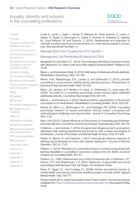

**[Context](#page-4-0)** 

[Purpose](#page-4-0)

[Using the research and](#page-4-0)  [literature overviews](#page-4-0)

[1](#page-5-0) Focus of the resource

[2](#page-6-0) Aims and relevance of the resource

3 [Definition of terms and](#page-9-0)  [concepts under the](#page-9-0)  [Equality Act 2010](#page-9-0)

4 [Search strategy](#page-10-0)

[5](#page-12-0) Overview of findings

6 [Diversity and inclusion](#page-13-0)

7 [Discrimination, prejudice](#page-14-0)  [and victimisation](#page-14-0)

8 [Age](#page-15-0)

9 [Disability](#page-16-0)

10 [Gender](#page-40-0)

11 [Gender reassignment](#page-41-0)

[12](#page-42-0) Pregnancy and maternity

13 [Race](#page-13-0)

14 [Religion and belief](#page-14-0)

15 [Sexual orientation](#page-15-0)

16 [Same sex marriage](#page-16-0)  [and civil partnership](#page-16-0)

**17** [Dual characteristics](#page-40-0)

[18](#page-41-0) Conclusion

About the Autho[r](#page-43-0)

**[References](#page-52-0)** 

Appendix 1

Appendix 2

Appendix 3

Appendix 4

Lovell, K., Lamb, J., Gask, L., Bower, P., Waheed, W., Chew-Graham, C., Lamb, J., Aseem. S., Beatty, S., Burroughs, H., Clarke, P., Dowrick, A., Edwards, S., Gabbay, M., Lloyd Williams, M. and Dowrick, C. (2014). *Development and evaluation of culturally sensitive psychosocial interventions for under-served people in primary care.* BiomedCentral Psychiatry 14.

Marriage (Same Sex Couples) Act 2013, Section 1.

Marriage and Civil Partnership (Scotland) Act 2014.

Mengesha, M. and Ward, E.C. (2012). *Psychotherapy with African American women with depression: is it okay to talk about their religious/spiritual beliefs?* Religions 3(1): 19-36.

Meyer, J. and Kashubeck-West, S. (2013). *Well-being of individuals with late deafness.*  Rehabilitation Psychology, 58(2): 124-136.

Minnis, A.M., Mavedzenge, S.N., Luenke, E. and Dehlendorf, C. (2014). *provider counseling to young women seeking family planning services.* Perspectives on Sexual and Reproductive Health 46(4): 223-231.

Mintz, L.B., Jackson, A.P., Neville, H.A., Kaye, J.I., Winterowd, C.L. and Loewy, M.I. (2009). *The need for a counseling psychology model training values statement addressing diversity.* Counseling Psychologist 37(5): 644-675.

Mizock, L. and Russinova, Z. (2013). *Racial and ethnic cultural factors in the process of acceptance of mental illness.* Rehabilitation Counseling Bulletin, 56 (4): 229-239.

Moradi, B., Mohr, J.J., Worthington, R.L. and Fassinger, R.E. (2009). *Counseling psychology research on sexual (orientation) minority issues: conceptual and methodological challenges and opportunities.* Journal of Counseling Psychology 56(1): 5-22.

Nezu, A.M. (2010). *Cultural influences on the process of conducting psychotherapy: personal reflections of an ethnic minority psychologist.* Psychotherapy 47(2): 169-176.

O'Mahony, J. and Donnelly, T. (2010). *Immigrant and refugee women's post-partum depression help-seeking experiences and access to care: a review and analysis of the literature.* Journal of Psychiatric and Mental Health Nursing 17(10): 917-928.

Parker, G., Blanch, B. and Crawford, J. (2011). *Does gender influence response to differing psychotherapies by those with unipolar depression?* Journal of Affective Disorders 130(1-2): 17-20.

Pattison, S. (2010). *Reaching out: a proactive process to include young people with learning disabilities in counselling in secondary schools in the UK.* British Journal of Guidance & Counselling 38(3): 301-311.

Paulhus, D.L. (1991). *Measurement and control of response bias.* In Robinson, J.P., Shaver, P.R. and Wrightsman, L.S. (Eds.), Measures of personality and social psychological attitudes (pp17-59). San Diego, CA: Academic Press.

Pepin, R., Segal, D.L. and Coolidge, F.L. (2009). *Intrinsic and extrinsic barriers to mental health care among community-dwelling younger and older adults.* Aging & Mental Health 13(5): 769-777.

Project Implicit (2011). *Implicit associations test.* Project implicit. [Harvard.edu](http://Harvard.edu) [online]. Available from:<https://implicit.harvard.edu/implicit/education.html>[Accessed 05 May 2016]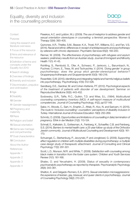

**[Context](#page-4-0)** 

[Purpose](#page-4-0)

[Using the research and](#page-4-0)  [literature overviews](#page-4-0)

[1](#page-5-0) Focus of the resource

[2](#page-6-0) Aims and relevance of the resource

3 [Definition of terms and](#page-9-0)  [concepts under the](#page-9-0)  [Equality Act 2010](#page-9-0)

4 [Search strategy](#page-10-0)

[5](#page-12-0) Overview of findings

6 [Diversity and inclusion](#page-13-0)

7 [Discrimination, prejudice](#page-14-0)  [and victimisation](#page-14-0)

8 [Age](#page-15-0)

9 [Disability](#page-16-0)

10 [Gender](#page-40-0)

11 [Gender reassignment](#page-41-0)

[12](#page-42-0) Pregnancy and maternity

- 13 [Race](#page-13-0)
- 14 [Religion and belief](#page-14-0)

15 [Sexual orientation](#page-15-0)

16 [Same sex marriage](#page-16-0)  [and civil partnership](#page-16-0)

**17** [Dual characteristics](#page-40-0)

[18](#page-41-0) Conclusion

About the Autho[r](#page-43-0)

**[References](#page-52-0)** 

Appendix 1

Appendix 2

Appendix 3

Appendix 4

Pseekos, A.C. and Lyddon, W.J. (2009). *The use of metaphor to address gender and sexual orientation stereotypes in counseling: a feminist perspective.* Women & Therapy 32(4): 393-405.

Quinones, A.R., Thielke, S.M., Beaver, K.A., Triveli, R.P., Williams, E.C. and Fan, V.S. (2014). *Racial and ethnic differences in receipt of antidepressants and psychotherapy by veterans with chronic depression.* Psychiatric Services 65(2): 193-200.

Renner, W. (2009). *The effectiveness of psychotherapy with refugees and asylum seekers: preliminary results from an Austrian study.* Journal of Immigrant and Minority Health 11(1): 41-45.

Rohlfing, S., Rembold, S., Ofer, A., Schwarz, P., Jankovic, L., Barumbach, N., Puchner, C.l Horn, E., Tress, W. and Tschuschke, V. (2014). *'Doing gender' in group psychotherapy: does the group elicit gender-stereotypical behavior?*  Gruppenpsychotherapie und Gruppendynamik 50(3): 190-218.

Rosenfeld, G.W. (2010). *Identifying and integrating helpful and harmful religious beliefs into psychotherapy.* Psychotherapy 47(4): 512-526.

Sandberg, D.E., Gardner, M. and Cohen-Kettenis, P.T. (2012). *Psychological aspects of the treatment of patients with disorder of sex development.* Seminar on Reproductive Medicine 30(5): 443-452.

Sodowsky, G.R., Taffe, R.C., Gutkin, T.D. and Wise, S.L. (1994). *Multicultural counseling competency inventory (MCI): A self-report measure of multicultural competencies.* Journal of Counseling Psychology, 41(2), pp137-148.

Sakiz, H., Woods, C., Sart, H., Ersahin, Z., Aftab, R., Koc, N. and Saricam, H. (2015). *The route to 'inclusive counselling': counsellors' perceptions of disability inclusion in Turkey.* International Journal of Inclusive Education 19(3): 250-269.

Schmitz, D. (2009). *Opportunities and limitations of counselling in (late) termination of pregnancy.* Ethik in der Medizin 21(2): 113-124.

Schnall, E., Kalkstein, S., Gottesman, A., Feinberg, K., Schaeffer, C.B. and Feinberg, S.S. (2014). *Barriers to mental health care: a 25-year follow-up study of the Orthodox Jewish community.* Journal of Multicultural Counseling and Development 42(3): 161- 173.

Schuengel, C., Sterkenburg, P., Jeczynski, P. and Jongbloed, G. (2009). *Supporting affect regulation in children with multiple disabilities during psychotherapy: a multiple case design study of therapeutic attachment.* Journal of Consulting and Clinical Psychology 77(2): 291-301.

Scott, L.D., Munson, M.R. and White, T. (2009). *Satisfaction with counseling among black males in transition from the foster care system.* Children and Youth Services Review 31(1): 161-168.

Shalev, O. and Yerushalmi, H. (2009). *Status of sexuality in contemporary psychoanalytic psychotherapy as reported by therapists.* Psychoanalytic Psychology 26(4): 343-361.

Shelton, K. and Delgado-Romero, E.A. (2011). *Sexual orientation microaggressions: the experience of lesbian, gay, bisexual, and queer clients in psychotherapy.* Journal of Counseling Psychology 58(2): 210-221.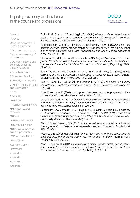

**[Context](#page-4-0)** 

[Purpose](#page-4-0)

[Using the research and](#page-4-0)  [literature overviews](#page-4-0)

[1](#page-5-0) Focus of the resource

[2](#page-6-0) Aims and relevance of the resource

3 [Definition of terms and](#page-9-0)  [concepts under the](#page-9-0)  [Equality Act 2010](#page-9-0)

4 [Search strategy](#page-10-0)

[5](#page-12-0) Overview of findings

6 [Diversity and inclusion](#page-13-0)

7 [Discrimination, prejudice](#page-14-0)  [and victimisation](#page-14-0)

8 [Age](#page-15-0)

9 [Disability](#page-16-0)

10 [Gender](#page-40-0)

11 [Gender reassignment](#page-41-0)

[12](#page-42-0) Pregnancy and maternity

13 [Race](#page-13-0)

14 [Religion and belief](#page-14-0)

15 [Sexual orientation](#page-15-0)

16 [Same sex marriage](#page-16-0)  [and civil partnership](#page-16-0)

**17** [Dual characteristics](#page-40-0)

[18](#page-41-0) Conclusion

About the Autho[r](#page-43-0)

**[References](#page-52-0)** 

Appendix 1

Appendix 2

Appendix 3

Appendix 4

Smith, K.M., Chesin, M.S. and Jeglic, E.L. (2014). *Minority college student mental health: does majority status matter? Implications for college counseling services.*  Journal of Multicultural Counseling and Development 42(2): 77-92.

Stephenson, R., Chard, A., Finneran, C. and Sullivan, P. (2014). *Willingness to use couples voluntary counseling and testing services among men who have sex with men in seven countries.* Aids Care-Psychological and Socio-Medical Aspects of Aids/Hiv 26(2): 191-198

Stracuzzi, T.I., Mohr, J.J. and Fuertes, J.N. (2011). *Gay and bisexual male clients' perceptions of counseling: the role of perceived sexual orientation similarity and counselor universal-diverse orientation.* Journal of Counseling Psychology 58(3): 299-309.

Sue, D.W., Rivera, D.P., Capodilupo, C.M., Lin, A.I. and Torino, G.C. (2010). *Racial dialogues and white trainee fears: implications for education and training.* Cultural Diversity & Ethnic Minority Psychology 16(2): 206-214.

Sue, S., Zane, N., Hall G.C.N. and Berger, L.K. (2009). *The case for cultural competency in psychotherapeutic interventions.* Annual Review of Psychology, 60: 525-548.

Tribe, R. and Lane, P. (2009). *Working with interpreters across language and culture in mental health.* Journal of Mental Health, 18(3): 233-241.

Ueda, Y. and Tsuda, A. (2013). *Differential outcomes of skill training, group counseling, and individual cognitive therapy for persons with acquired visual impairment.*  Japanese Psychological Research 55(3): 229-240.

Uebelacker, L.A., Marootian, B.A., Pirragia, P.A., Primack, J., Tigue, P.M., Haggartz, R., Velazquez, L., Bowdoin, J.J., Kalibatseva, Z. and Miller, I.W. (2012). *Barriers and*  facilitators of treatment for depression in a latino community: a focus group study. Community Mental Health Journal 48(1): 114-126.

Ward, E.C. and Besson, D.D. (2013). *African American men's beliefs about mental illness, perceptions of stigma, and help-seeking barriers.* Counseling Psychologist 41(3): 359-391.

Watkins, C.E. (2012). *Race/ethnicity in short-term and long-term psychodynamic psychotherapy treatment research: How 'white' are the data?* Psychoanalytic Psychology 29(3): 292-307.

Zane, N. and Ku, H. (2014). *Effects of ethnic match, gender match, acculturation, cultural identity, and face concern on self-disclosure in counseling for Asian Americans.* Asian American Journal of Psychology 5(1): 66-74.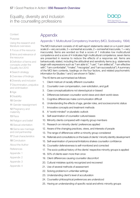

<span id="page-56-0"></span>**[Context](#page-4-0)** 

[Purpose](#page-4-0)

[Using the research and](#page-4-0)  [literature overviews](#page-4-0)

[1](#page-5-0) Focus of the resource

[2](#page-6-0) Aims and relevance of the resource

3 [Definition of terms and](#page-9-0)  [concepts under the](#page-9-0)  [Equality Act 2010](#page-9-0)

4 [Search strategy](#page-10-0)

[5](#page-12-0) Overview of findings

6 [Diversity and inclusion](#page-13-0)

7 [Discrimination, prejudice](#page-14-0)  [and victimisation](#page-14-0)

8 [Age](#page-15-0)

9 [Disability](#page-16-0)

10 [Gender](#page-40-0)

11 [Gender reassignment](#page-41-0)

[12](#page-42-0) Pregnancy and maternity

13 [Race](#page-13-0)

14 [Religion and belief](#page-14-0)

15 [Sexual orientation](#page-15-0)

16 [Same sex marriage](#page-16-0)  [and civil partnership](#page-16-0)

**17** [Dual characteristics](#page-40-0)

[18](#page-41-0) Conclusion

About the Autho[r](#page-43-0)

- [References](#page-52-0)
- Appendix 1
- Appendix 2
- Appendix 3
- Appendix 4

# **Appendix**

### Appendix 1: Multicultural Competency Inventory (MCI, Sodowsky, 1994)

The MCI Instrument consists of 40 self-report statements rated on a 4-point Likert scale  $(4 = \text{very accurate}, 3 = \text{somewhat accurate}, 2 = \text{somewhat inaccurate}, 1 = \text{very}$ inaccurate). Items are worded so that a score of 1 indicates low multicultural competence and a score of 4 indicates high multicultural competence; seven items are presented in reverse to reduce the effects of a response set. Items are behaviourally stated, including the attitudinal and sensitivity items (e.g. statements begin with expressions such as "I am able to", "I use", "I am skilled at", "I am effective with", "I am comfortable", "I make", "I recognize", and "I am successful at"). A summary of the MCI item contents, loadings on the four factors, and related psychometric information for Studies 1 and 2 are shown in Table l.

The 40 items are summarised as follows:

- 1. Client mistrust of racially different counsellor.
- 2. Counsellor over-compensation, over-solicitation, and guilt
- 3. Case conceptualizations not stereotypical or biased
- 4. Differences between counsellor world views and client world views
- 5. Cognitive differences make communication difficult
- 6. Understanding the effects of age, gender roles, and socioeconomic status
- 7. Innovative concepts and treatment methods
- 8. A "world-minded" or pluralistic outlook
- 9. Self-examination of counsellor cultural biases
- 10. Minority clients compared with majority group members
- 11. Research on minority clients' preferences applied
- 12. Aware of the changing practices, views, and interests of people
- 13. The range of differences within a minority group considered
- 14. Referrals and consultations on the basis of clients' minority identity development
- 15. Self-examination of personal limitations shakes counsellor confidence
- 16. Counsellor defensiveness is self-monitored and corrected
- 17. The socio-political history of the clients' respective minority groups is applied
- 18. 50% of clients seen more than once
- 19. Client differences causing counsellor discomfort
- 20. Cultural mistakes quickly recognized and recovered
- 21. Use of several methods of assessment
- 22. Solving problems in unfamiliar settings
- 23. Understanding client's level of acculturation
- 24. Counsellor philosophical preferences are understood
- 25. Having an understanding of specific racial and ethnic minority groups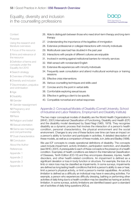

### <span id="page-57-0"></span>**[Context](#page-4-0)**

[Purpose](#page-4-0)

[Using the research and](#page-4-0)  [literature overviews](#page-4-0)

[1](#page-5-0) Focus of the resource

[2](#page-6-0) Aims and relevance of the resource

3 [Definition of terms and](#page-9-0)  [concepts under the](#page-9-0)  [Equality Act 2010](#page-9-0)

4 [Search strategy](#page-10-0)

[5](#page-12-0) Overview of findings

6 [Diversity and inclusion](#page-13-0)

7 [Discrimination, prejudice](#page-14-0)  [and victimisation](#page-14-0)

8 [Age](#page-15-0)

9 [Disability](#page-16-0)

10 [Gender](#page-40-0)

11 [Gender reassignment](#page-41-0)

[12](#page-42-0) Pregnancy and maternity

- 13 [Race](#page-13-0)
- 14 [Religion and belief](#page-14-0)

15 [Sexual orientation](#page-15-0)

16 [Same sex marriage](#page-16-0)  [and civil partnership](#page-16-0)

**17** [Dual characteristics](#page-40-0)

[18](#page-41-0) Conclusion

About the Autho[r](#page-43-0)

**[References](#page-52-0)** 

Appendix 1

Appendix 2

- Appendix 3
- Appendix 4
- 26. Able to distinguish between those who need short-term therapy and long-term therapy
- 27. Understanding the importance of the legalities of immigration
- 28. Extensive professional or collegial interactions with minority individuals
- 29. Multicultural case load has doubled in the past year
- 30. Interactions with people of different cultures are enjoyable
- 31. Involved in working against institutional barriers for minority services
- 32. Well-versed with nonstandard English
- 33. Extensive life experiences with minority individuals
- 34. Frequently seek consultation and attend multicultural workshops or training sessions
- 35. Effective crisis interventions
- 36. Various counselling techniques and skills used
- 37. Concise and to the point in verbal skills
- 38. Comfortable exploring sexual issues
- 39. Effective in getting a client to be specific
- 40. Compatible nonverbal and verbal responses

### Appendix 2: Conceptual Models of Disability (Cornell University, School of Industrial and Labor Relations, Employment and Disability Institute)

The two major conceptual models of disability are the World Health Organization's (WHO, 2001) International Classification of Functioning, Disability and Health (ICF) and the disability model developed by Saad Nagi (1965, 1979). They recognise disability as a dynamic process that involves the interaction of a person's health condition, personal characteristics, the physical environment and the social environment. Changes to any one of these factors over time can have an impact on a person's ability to function and participate in activities. A detailed description of these models, as well as a comparison of these models, is in Jette and Badley (1998).

We use ICF concepts to create operational definitions of disability. The concepts used include *impairment, activity limitation, participation restriction, and disability*  (see WHO, 2001). A prerequisite to each of these concepts is the presence of a health condition. Examples of health conditions are listed in the International Classification of Diseases, Tenth Edition (ICD-10) and they encompass diseases, injuries, health disorders, and other health-related conditions. An *impairment* is defined as a significant deviation or loss in body function or structure. For example, the loss of a limb or vision loss may be classified as impairments. In some surveys, impairments are defined as long lasting health conditions that limit a person's ability to see or hear, limit a person's physical activity, or limit a person's mental capabilities. An *activity limitation* is defined as a difficulty an individual may have in executing activities. For example, a person who experiences difficulty dressing, bathing or performing other activities of daily living due to a health condition may be classified as having an activity limitation. In some surveys, activity limitations are identified based upon a standard set of activities of daily living questions (ADLs).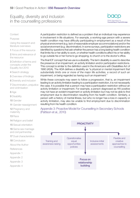

### <span id="page-58-0"></span>**[Context](#page-4-0)**

### [Purpose](#page-4-0)

[Using the research and](#page-4-0)  [literature overviews](#page-4-0)

[1](#page-5-0) Focus of the resource

[2](#page-6-0) Aims and relevance of the resource

3 [Definition of terms and](#page-9-0)  [concepts under the](#page-9-0)  [Equality Act 2010](#page-9-0)

4 [Search strategy](#page-10-0)

[5](#page-12-0) Overview of findings

6 [Diversity and inclusion](#page-13-0)

7 [Discrimination, prejudice](#page-14-0)  [and victimisation](#page-14-0)

8 [Age](#page-15-0)

9 [Disability](#page-16-0)

10 [Gender](#page-40-0)

11 [Gender reassignment](#page-41-0)

[12](#page-42-0) Pregnancy and maternity

13 [Race](#page-13-0)

14 [Religion and belief](#page-14-0)

15 [Sexual orientation](#page-15-0)

16 [Same sex marriage](#page-16-0)  [and civil partnership](#page-16-0)

**17** [Dual characteristics](#page-40-0)

[18](#page-41-0) Conclusion

About the Autho[r](#page-43-0)

**[References](#page-52-0)** 

Appendix 1

Appendix 2

Appendix 3

Appendix 4

A *participation restriction* is defined as a problem that an individual may experience in involvement in life situations. For example, a working-age person with a severe health condition may have difficulty participating in employment as a result of the physical environment (e.g. lack of reasonable employer accommodations) and/or the social environment (e.g. discrimination). In some surveys, participation restrictions are identified by questions that ask whether the person has a long lasting health condition that limits his or her ability to work, or whether health conditions affect his or her ability to go outside his or her home to go shopping, to church or to the doctor's office.

The final ICF concept that we use is a *disability*. The term disability is used to describe the presence of an impairment, an activity limitation and/or participation restrictions. This concept is similar to the definition used in the Americans with Disabilities Act of 1990 (ADA). The ADA defines a disability as *"a physical or mental impairment that substantially limits one or more of the major life activities, a record of such an impairment, or being regarded as having such an impairment."*

While these concepts may seem to follow a progression, that is, an impairment leading to an activity limitation leading to a participation restriction, it is not necessarily the case. It is possible that a person may have a participation restriction without an activity limitation or impairment. For example, a person diagnosed as HIV positive may not have an evident impairment or activity limitation but may not be able to find employment due to discrimination resulting from his health condition. Similarly, a person with a history of mental illness, but who no longer has a loss in capacity or activity limitation, may also be unable to find employment due to discrimination resulting from his health condition.

### Appendix 3: Proactive Model for Counselling in Secondary Schools (Pattison et al., 2010)